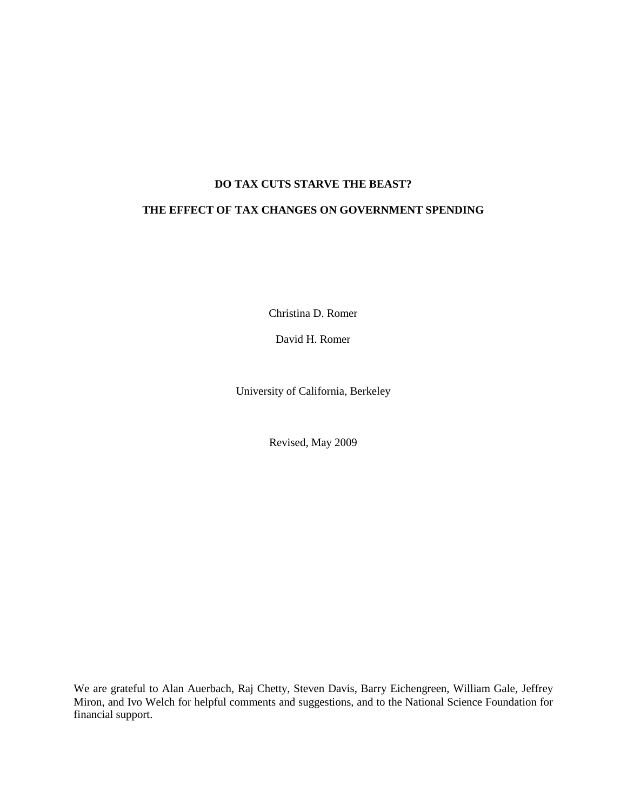# **DO TAX CUTS STARVE THE BEAST?**

# **THE EFFECT OF TAX CHANGES ON GOVERNMENT SPENDING**

Christina D. Romer

David H. Romer

University of California, Berkeley

Revised, May 2009

We are grateful to Alan Auerbach, Raj Chetty, Steven Davis, Barry Eichengreen, William Gale, Jeffrey Miron, and Ivo Welch for helpful comments and suggestions, and to the National Science Foundation for financial support.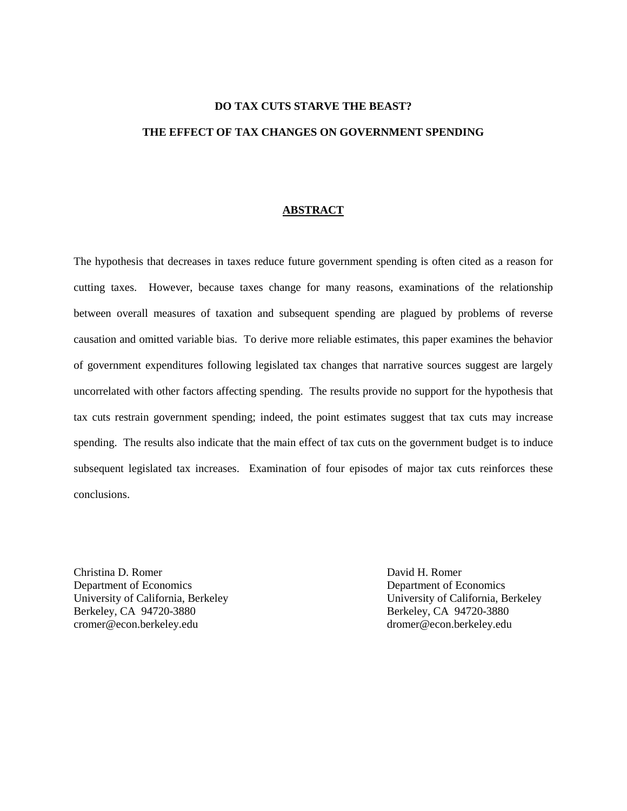# **DO TAX CUTS STARVE THE BEAST? THE EFFECT OF TAX CHANGES ON GOVERNMENT SPENDING**

## **ABSTRACT**

The hypothesis that decreases in taxes reduce future government spending is often cited as a reason for cutting taxes. However, because taxes change for many reasons, examinations of the relationship between overall measures of taxation and subsequent spending are plagued by problems of reverse causation and omitted variable bias. To derive more reliable estimates, this paper examines the behavior of government expenditures following legislated tax changes that narrative sources suggest are largely uncorrelated with other factors affecting spending. The results provide no support for the hypothesis that tax cuts restrain government spending; indeed, the point estimates suggest that tax cuts may increase spending. The results also indicate that the main effect of tax cuts on the government budget is to induce subsequent legislated tax increases. Examination of four episodes of major tax cuts reinforces these conclusions.

Christina D. Romer David H. Romer Department of Economics Department of Economics University of California, Berkeley University of California, Berkeley Berkeley, CA 94720-3880 Berkeley, CA 94720-3880 cromer@econ.berkeley.edu dromer@econ.berkeley.edu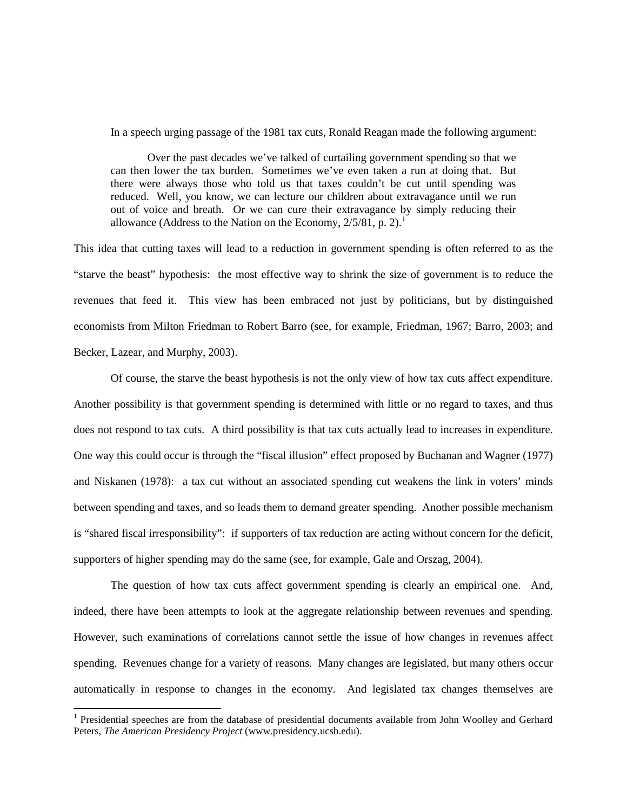In a speech urging passage of the 1981 tax cuts, Ronald Reagan made the following argument:

Over the past decades we've talked of curtailing government spending so that we can then lower the tax burden. Sometimes we've even taken a run at doing that. But there were always those who told us that taxes couldn't be cut until spending was reduced. Well, you know, we can lecture our children about extravagance until we run out of voice and breath. Or we can cure their extravagance by simply reducing their allowance (Address to the Nation on the Economy,  $2/5/81$  $2/5/81$ , p. 2).<sup>1</sup>

This idea that cutting taxes will lead to a reduction in government spending is often referred to as the "starve the beast" hypothesis: the most effective way to shrink the size of government is to reduce the revenues that feed it. This view has been embraced not just by politicians, but by distinguished economists from Milton Friedman to Robert Barro (see, for example, Friedman, 1967; Barro, 2003; and Becker, Lazear, and Murphy, 2003).

Of course, the starve the beast hypothesis is not the only view of how tax cuts affect expenditure. Another possibility is that government spending is determined with little or no regard to taxes, and thus does not respond to tax cuts. A third possibility is that tax cuts actually lead to increases in expenditure. One way this could occur is through the "fiscal illusion" effect proposed by Buchanan and Wagner (1977) and Niskanen (1978): a tax cut without an associated spending cut weakens the link in voters' minds between spending and taxes, and so leads them to demand greater spending. Another possible mechanism is "shared fiscal irresponsibility": if supporters of tax reduction are acting without concern for the deficit, supporters of higher spending may do the same (see, for example, Gale and Orszag, 2004).

The question of how tax cuts affect government spending is clearly an empirical one. And, indeed, there have been attempts to look at the aggregate relationship between revenues and spending. However, such examinations of correlations cannot settle the issue of how changes in revenues affect spending. Revenues change for a variety of reasons. Many changes are legislated, but many others occur automatically in response to changes in the economy. And legislated tax changes themselves are

<span id="page-2-0"></span><sup>&</sup>lt;sup>1</sup> Presidential speeches are from the database of presidential documents available from John Woolley and Gerhard Peters, *The American Presidency Project* (www.presidency.ucsb.edu).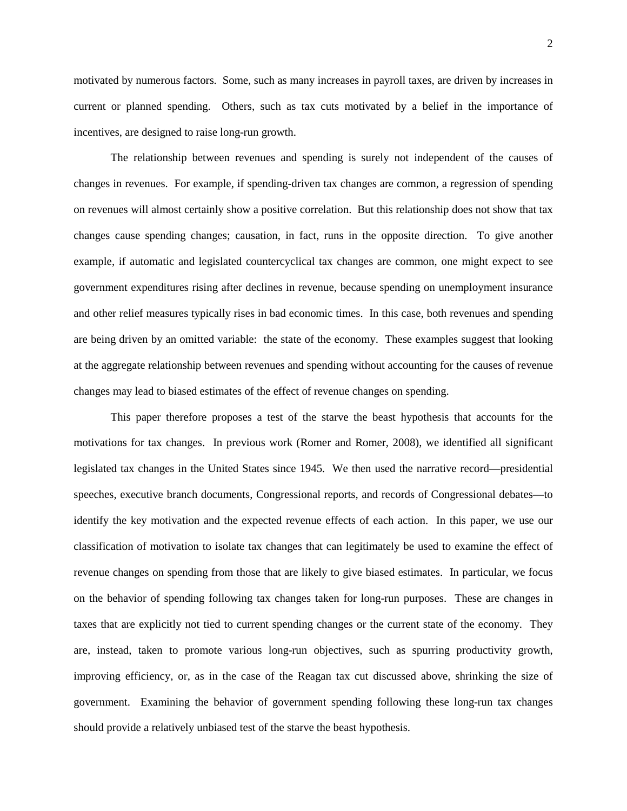motivated by numerous factors. Some, such as many increases in payroll taxes, are driven by increases in current or planned spending. Others, such as tax cuts motivated by a belief in the importance of incentives, are designed to raise long-run growth.

The relationship between revenues and spending is surely not independent of the causes of changes in revenues. For example, if spending-driven tax changes are common, a regression of spending on revenues will almost certainly show a positive correlation. But this relationship does not show that tax changes cause spending changes; causation, in fact, runs in the opposite direction. To give another example, if automatic and legislated countercyclical tax changes are common, one might expect to see government expenditures rising after declines in revenue, because spending on unemployment insurance and other relief measures typically rises in bad economic times. In this case, both revenues and spending are being driven by an omitted variable: the state of the economy. These examples suggest that looking at the aggregate relationship between revenues and spending without accounting for the causes of revenue changes may lead to biased estimates of the effect of revenue changes on spending.

This paper therefore proposes a test of the starve the beast hypothesis that accounts for the motivations for tax changes. In previous work (Romer and Romer, 2008), we identified all significant legislated tax changes in the United States since 1945. We then used the narrative record—presidential speeches, executive branch documents, Congressional reports, and records of Congressional debates—to identify the key motivation and the expected revenue effects of each action. In this paper, we use our classification of motivation to isolate tax changes that can legitimately be used to examine the effect of revenue changes on spending from those that are likely to give biased estimates. In particular, we focus on the behavior of spending following tax changes taken for long-run purposes. These are changes in taxes that are explicitly not tied to current spending changes or the current state of the economy. They are, instead, taken to promote various long-run objectives, such as spurring productivity growth, improving efficiency, or, as in the case of the Reagan tax cut discussed above, shrinking the size of government. Examining the behavior of government spending following these long-run tax changes should provide a relatively unbiased test of the starve the beast hypothesis.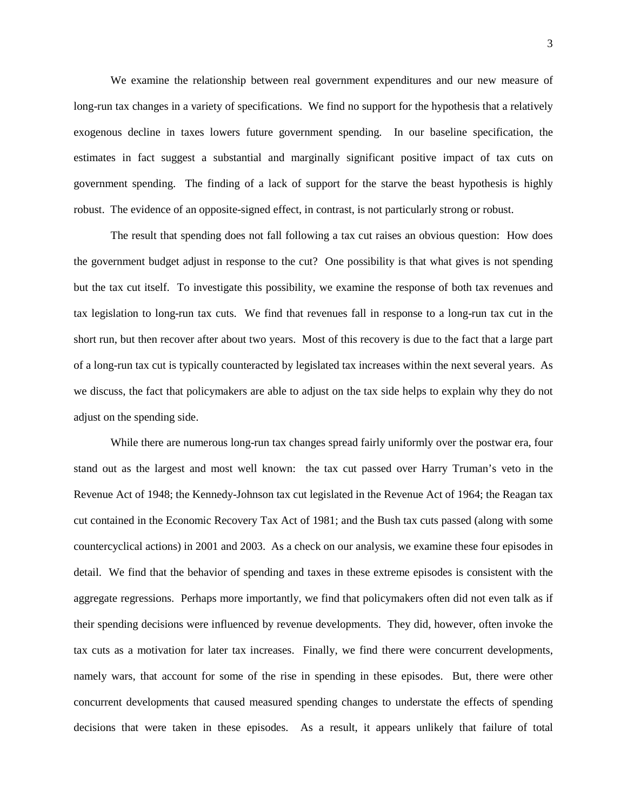We examine the relationship between real government expenditures and our new measure of long-run tax changes in a variety of specifications. We find no support for the hypothesis that a relatively exogenous decline in taxes lowers future government spending. In our baseline specification, the estimates in fact suggest a substantial and marginally significant positive impact of tax cuts on government spending. The finding of a lack of support for the starve the beast hypothesis is highly robust. The evidence of an opposite-signed effect, in contrast, is not particularly strong or robust.

The result that spending does not fall following a tax cut raises an obvious question: How does the government budget adjust in response to the cut? One possibility is that what gives is not spending but the tax cut itself. To investigate this possibility, we examine the response of both tax revenues and tax legislation to long-run tax cuts. We find that revenues fall in response to a long-run tax cut in the short run, but then recover after about two years. Most of this recovery is due to the fact that a large part of a long-run tax cut is typically counteracted by legislated tax increases within the next several years. As we discuss, the fact that policymakers are able to adjust on the tax side helps to explain why they do not adjust on the spending side.

While there are numerous long-run tax changes spread fairly uniformly over the postwar era, four stand out as the largest and most well known: the tax cut passed over Harry Truman's veto in the Revenue Act of 1948; the Kennedy-Johnson tax cut legislated in the Revenue Act of 1964; the Reagan tax cut contained in the Economic Recovery Tax Act of 1981; and the Bush tax cuts passed (along with some countercyclical actions) in 2001 and 2003. As a check on our analysis, we examine these four episodes in detail. We find that the behavior of spending and taxes in these extreme episodes is consistent with the aggregate regressions. Perhaps more importantly, we find that policymakers often did not even talk as if their spending decisions were influenced by revenue developments. They did, however, often invoke the tax cuts as a motivation for later tax increases. Finally, we find there were concurrent developments, namely wars, that account for some of the rise in spending in these episodes. But, there were other concurrent developments that caused measured spending changes to understate the effects of spending decisions that were taken in these episodes. As a result, it appears unlikely that failure of total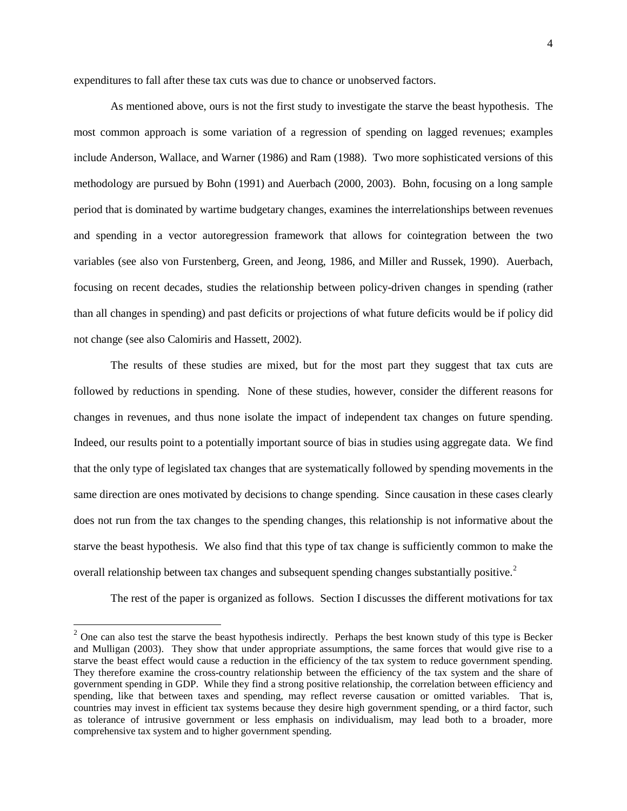expenditures to fall after these tax cuts was due to chance or unobserved factors.

As mentioned above, ours is not the first study to investigate the starve the beast hypothesis. The most common approach is some variation of a regression of spending on lagged revenues; examples include Anderson, Wallace, and Warner (1986) and Ram (1988). Two more sophisticated versions of this methodology are pursued by Bohn (1991) and Auerbach (2000, 2003). Bohn, focusing on a long sample period that is dominated by wartime budgetary changes, examines the interrelationships between revenues and spending in a vector autoregression framework that allows for cointegration between the two variables (see also von Furstenberg, Green, and Jeong, 1986, and Miller and Russek, 1990). Auerbach, focusing on recent decades, studies the relationship between policy-driven changes in spending (rather than all changes in spending) and past deficits or projections of what future deficits would be if policy did not change (see also Calomiris and Hassett, 2002).

The results of these studies are mixed, but for the most part they suggest that tax cuts are followed by reductions in spending. None of these studies, however, consider the different reasons for changes in revenues, and thus none isolate the impact of independent tax changes on future spending. Indeed, our results point to a potentially important source of bias in studies using aggregate data. We find that the only type of legislated tax changes that are systematically followed by spending movements in the same direction are ones motivated by decisions to change spending. Since causation in these cases clearly does not run from the tax changes to the spending changes, this relationship is not informative about the starve the beast hypothesis. We also find that this type of tax change is sufficiently common to make the overall relationship between tax changes and subsequent spending changes substantially positive.<sup>[2](#page-5-0)</sup>

The rest of the paper is organized as follows. Section I discusses the different motivations for tax

<span id="page-5-0"></span> $2$  One can also test the starve the beast hypothesis indirectly. Perhaps the best known study of this type is Becker and Mulligan (2003). They show that under appropriate assumptions, the same forces that would give rise to a starve the beast effect would cause a reduction in the efficiency of the tax system to reduce government spending. They therefore examine the cross-country relationship between the efficiency of the tax system and the share of government spending in GDP. While they find a strong positive relationship, the correlation between efficiency and spending, like that between taxes and spending, may reflect reverse causation or omitted variables. That is, countries may invest in efficient tax systems because they desire high government spending, or a third factor, such as tolerance of intrusive government or less emphasis on individualism, may lead both to a broader, more comprehensive tax system and to higher government spending.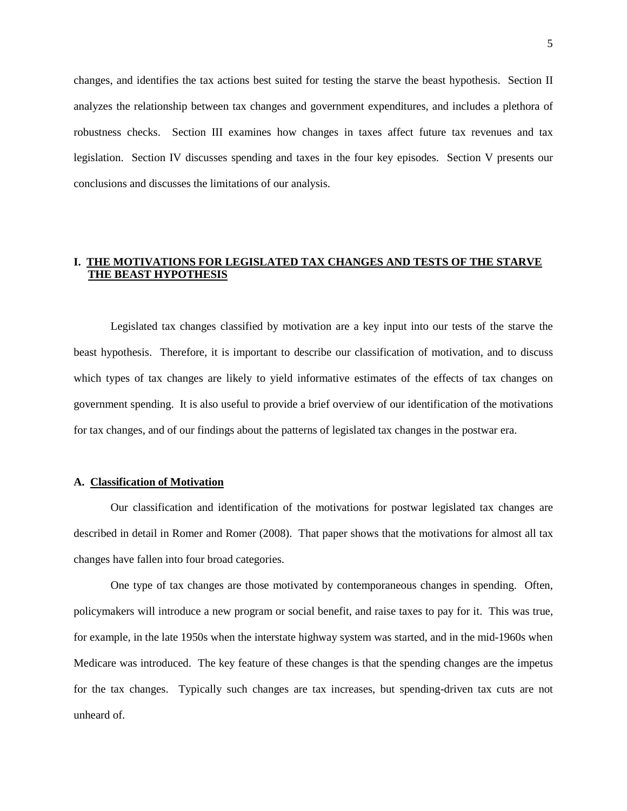changes, and identifies the tax actions best suited for testing the starve the beast hypothesis. Section II analyzes the relationship between tax changes and government expenditures, and includes a plethora of robustness checks. Section III examines how changes in taxes affect future tax revenues and tax legislation. Section IV discusses spending and taxes in the four key episodes. Section V presents our conclusions and discusses the limitations of our analysis.

# **I. THE MOTIVATIONS FOR LEGISLATED TAX CHANGES AND TESTS OF THE STARVE THE BEAST HYPOTHESIS**

Legislated tax changes classified by motivation are a key input into our tests of the starve the beast hypothesis. Therefore, it is important to describe our classification of motivation, and to discuss which types of tax changes are likely to yield informative estimates of the effects of tax changes on government spending. It is also useful to provide a brief overview of our identification of the motivations for tax changes, and of our findings about the patterns of legislated tax changes in the postwar era.

## **A. Classification of Motivation**

Our classification and identification of the motivations for postwar legislated tax changes are described in detail in Romer and Romer (2008). That paper shows that the motivations for almost all tax changes have fallen into four broad categories.

One type of tax changes are those motivated by contemporaneous changes in spending. Often, policymakers will introduce a new program or social benefit, and raise taxes to pay for it. This was true, for example, in the late 1950s when the interstate highway system was started, and in the mid-1960s when Medicare was introduced. The key feature of these changes is that the spending changes are the impetus for the tax changes. Typically such changes are tax increases, but spending-driven tax cuts are not unheard of.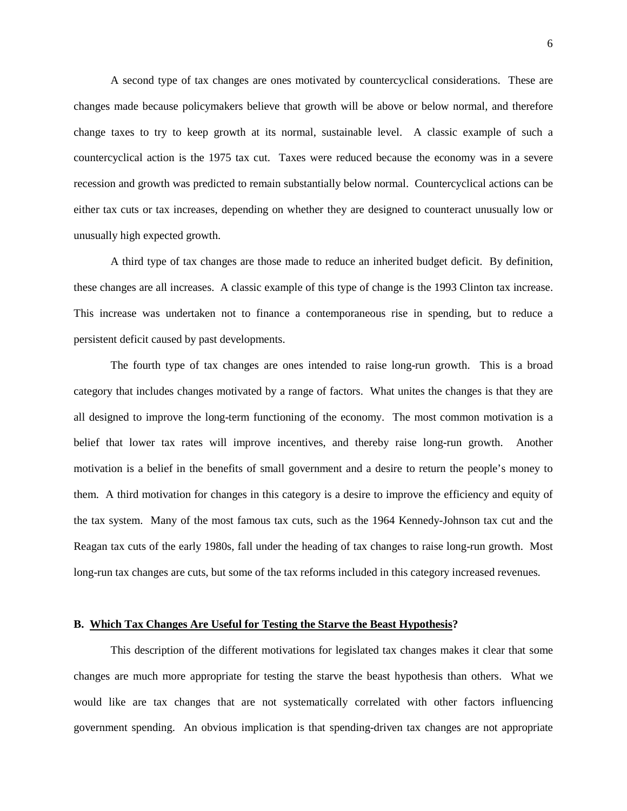A second type of tax changes are ones motivated by countercyclical considerations. These are changes made because policymakers believe that growth will be above or below normal, and therefore change taxes to try to keep growth at its normal, sustainable level. A classic example of such a countercyclical action is the 1975 tax cut. Taxes were reduced because the economy was in a severe recession and growth was predicted to remain substantially below normal. Countercyclical actions can be either tax cuts or tax increases, depending on whether they are designed to counteract unusually low or unusually high expected growth.

A third type of tax changes are those made to reduce an inherited budget deficit. By definition, these changes are all increases. A classic example of this type of change is the 1993 Clinton tax increase. This increase was undertaken not to finance a contemporaneous rise in spending, but to reduce a persistent deficit caused by past developments.

The fourth type of tax changes are ones intended to raise long-run growth. This is a broad category that includes changes motivated by a range of factors. What unites the changes is that they are all designed to improve the long-term functioning of the economy. The most common motivation is a belief that lower tax rates will improve incentives, and thereby raise long-run growth. Another motivation is a belief in the benefits of small government and a desire to return the people's money to them. A third motivation for changes in this category is a desire to improve the efficiency and equity of the tax system. Many of the most famous tax cuts, such as the 1964 Kennedy-Johnson tax cut and the Reagan tax cuts of the early 1980s, fall under the heading of tax changes to raise long-run growth. Most long-run tax changes are cuts, but some of the tax reforms included in this category increased revenues.

## **B. Which Tax Changes Are Useful for Testing the Starve the Beast Hypothesis?**

This description of the different motivations for legislated tax changes makes it clear that some changes are much more appropriate for testing the starve the beast hypothesis than others. What we would like are tax changes that are not systematically correlated with other factors influencing government spending. An obvious implication is that spending-driven tax changes are not appropriate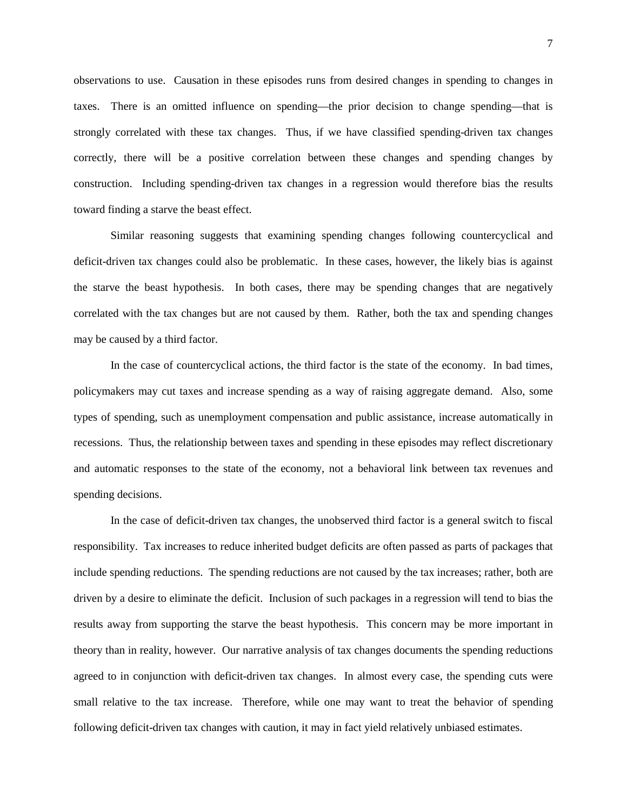observations to use. Causation in these episodes runs from desired changes in spending to changes in taxes. There is an omitted influence on spending—the prior decision to change spending—that is strongly correlated with these tax changes. Thus, if we have classified spending-driven tax changes correctly, there will be a positive correlation between these changes and spending changes by construction. Including spending-driven tax changes in a regression would therefore bias the results toward finding a starve the beast effect.

Similar reasoning suggests that examining spending changes following countercyclical and deficit-driven tax changes could also be problematic. In these cases, however, the likely bias is against the starve the beast hypothesis. In both cases, there may be spending changes that are negatively correlated with the tax changes but are not caused by them. Rather, both the tax and spending changes may be caused by a third factor.

In the case of countercyclical actions, the third factor is the state of the economy. In bad times, policymakers may cut taxes and increase spending as a way of raising aggregate demand. Also, some types of spending, such as unemployment compensation and public assistance, increase automatically in recessions. Thus, the relationship between taxes and spending in these episodes may reflect discretionary and automatic responses to the state of the economy, not a behavioral link between tax revenues and spending decisions.

In the case of deficit-driven tax changes, the unobserved third factor is a general switch to fiscal responsibility. Tax increases to reduce inherited budget deficits are often passed as parts of packages that include spending reductions. The spending reductions are not caused by the tax increases; rather, both are driven by a desire to eliminate the deficit. Inclusion of such packages in a regression will tend to bias the results away from supporting the starve the beast hypothesis. This concern may be more important in theory than in reality, however. Our narrative analysis of tax changes documents the spending reductions agreed to in conjunction with deficit-driven tax changes. In almost every case, the spending cuts were small relative to the tax increase. Therefore, while one may want to treat the behavior of spending following deficit-driven tax changes with caution, it may in fact yield relatively unbiased estimates.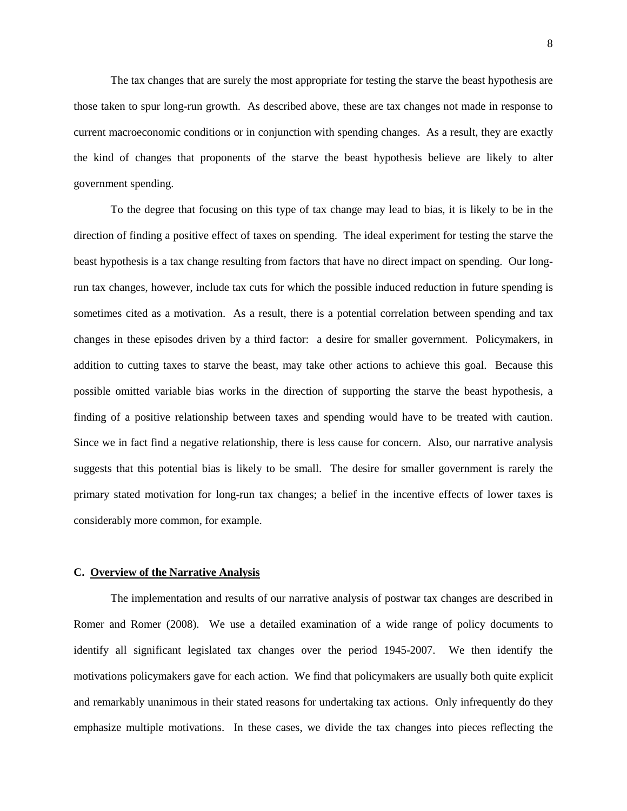The tax changes that are surely the most appropriate for testing the starve the beast hypothesis are those taken to spur long-run growth. As described above, these are tax changes not made in response to current macroeconomic conditions or in conjunction with spending changes. As a result, they are exactly the kind of changes that proponents of the starve the beast hypothesis believe are likely to alter government spending.

To the degree that focusing on this type of tax change may lead to bias, it is likely to be in the direction of finding a positive effect of taxes on spending. The ideal experiment for testing the starve the beast hypothesis is a tax change resulting from factors that have no direct impact on spending. Our longrun tax changes, however, include tax cuts for which the possible induced reduction in future spending is sometimes cited as a motivation. As a result, there is a potential correlation between spending and tax changes in these episodes driven by a third factor: a desire for smaller government. Policymakers, in addition to cutting taxes to starve the beast, may take other actions to achieve this goal. Because this possible omitted variable bias works in the direction of supporting the starve the beast hypothesis, a finding of a positive relationship between taxes and spending would have to be treated with caution. Since we in fact find a negative relationship, there is less cause for concern. Also, our narrative analysis suggests that this potential bias is likely to be small. The desire for smaller government is rarely the primary stated motivation for long-run tax changes; a belief in the incentive effects of lower taxes is considerably more common, for example.

## **C. Overview of the Narrative Analysis**

The implementation and results of our narrative analysis of postwar tax changes are described in Romer and Romer (2008). We use a detailed examination of a wide range of policy documents to identify all significant legislated tax changes over the period 1945-2007. We then identify the motivations policymakers gave for each action. We find that policymakers are usually both quite explicit and remarkably unanimous in their stated reasons for undertaking tax actions. Only infrequently do they emphasize multiple motivations. In these cases, we divide the tax changes into pieces reflecting the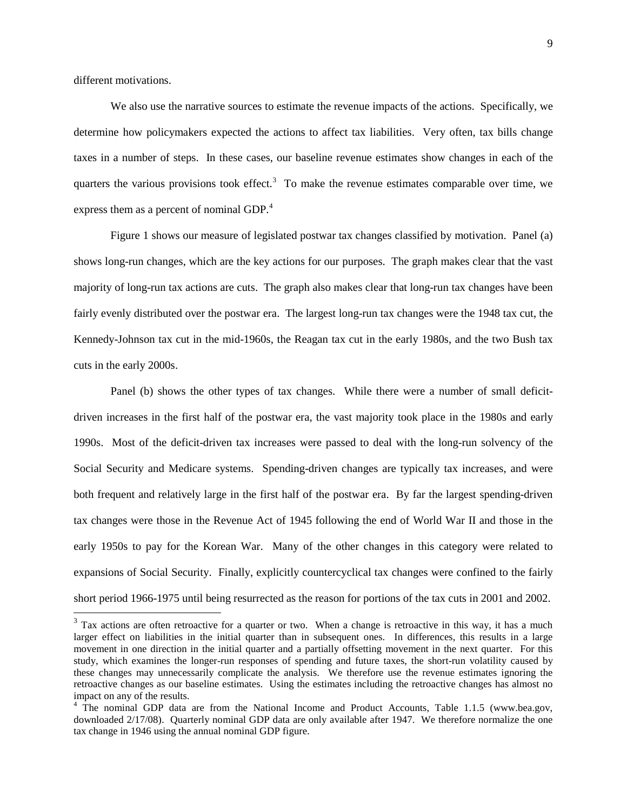different motivations.

We also use the narrative sources to estimate the revenue impacts of the actions. Specifically, we determine how policymakers expected the actions to affect tax liabilities. Very often, tax bills change taxes in a number of steps. In these cases, our baseline revenue estimates show changes in each of the quarters the various provisions took effect.<sup>[3](#page-10-0)</sup> To make the revenue estimates comparable over time, we express them as a percent of nominal GDP.<sup>[4](#page-10-1)</sup>

Figure 1 shows our measure of legislated postwar tax changes classified by motivation. Panel (a) shows long-run changes, which are the key actions for our purposes. The graph makes clear that the vast majority of long-run tax actions are cuts. The graph also makes clear that long-run tax changes have been fairly evenly distributed over the postwar era. The largest long-run tax changes were the 1948 tax cut, the Kennedy-Johnson tax cut in the mid-1960s, the Reagan tax cut in the early 1980s, and the two Bush tax cuts in the early 2000s.

Panel (b) shows the other types of tax changes. While there were a number of small deficitdriven increases in the first half of the postwar era, the vast majority took place in the 1980s and early 1990s. Most of the deficit-driven tax increases were passed to deal with the long-run solvency of the Social Security and Medicare systems. Spending-driven changes are typically tax increases, and were both frequent and relatively large in the first half of the postwar era. By far the largest spending-driven tax changes were those in the Revenue Act of 1945 following the end of World War II and those in the early 1950s to pay for the Korean War. Many of the other changes in this category were related to expansions of Social Security. Finally, explicitly countercyclical tax changes were confined to the fairly short period 1966-1975 until being resurrected as the reason for portions of the tax cuts in 2001 and 2002.

<span id="page-10-0"></span> $3$  Tax actions are often retroactive for a quarter or two. When a change is retroactive in this way, it has a much larger effect on liabilities in the initial quarter than in subsequent ones. In differences, this results in a large movement in one direction in the initial quarter and a partially offsetting movement in the next quarter. For this study, which examines the longer-run responses of spending and future taxes, the short-run volatility caused by these changes may unnecessarily complicate the analysis. We therefore use the revenue estimates ignoring the retroactive changes as our baseline estimates. Using the estimates including the retroactive changes has almost no impact on any of the results.

<span id="page-10-1"></span><sup>&</sup>lt;sup>4</sup> The nominal GDP data are from the National Income and Product Accounts, Table 1.1.5 (www.bea.gov, downloaded 2/17/08). Quarterly nominal GDP data are only available after 1947. We therefore normalize the one tax change in 1946 using the annual nominal GDP figure.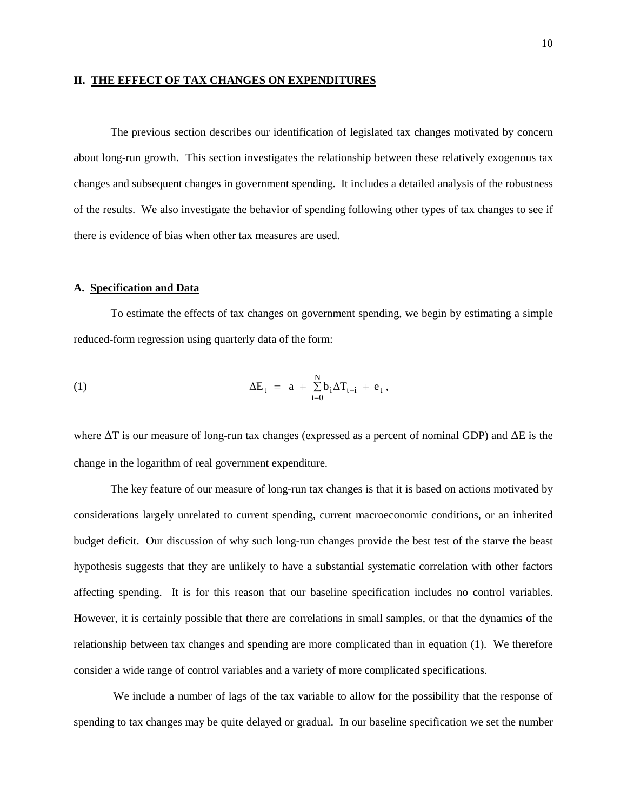#### **II. THE EFFECT OF TAX CHANGES ON EXPENDITURES**

The previous section describes our identification of legislated tax changes motivated by concern about long-run growth. This section investigates the relationship between these relatively exogenous tax changes and subsequent changes in government spending. It includes a detailed analysis of the robustness of the results. We also investigate the behavior of spending following other types of tax changes to see if there is evidence of bias when other tax measures are used.

## **A. Specification and Data**

To estimate the effects of tax changes on government spending, we begin by estimating a simple reduced-form regression using quarterly data of the form:

(1) 
$$
\Delta E_t = a + \sum_{i=0}^{N} b_i \Delta T_{t-i} + e_t,
$$

where  $\Delta T$  is our measure of long-run tax changes (expressed as a percent of nominal GDP) and  $\Delta E$  is the change in the logarithm of real government expenditure.

The key feature of our measure of long-run tax changes is that it is based on actions motivated by considerations largely unrelated to current spending, current macroeconomic conditions, or an inherited budget deficit. Our discussion of why such long-run changes provide the best test of the starve the beast hypothesis suggests that they are unlikely to have a substantial systematic correlation with other factors affecting spending. It is for this reason that our baseline specification includes no control variables. However, it is certainly possible that there are correlations in small samples, or that the dynamics of the relationship between tax changes and spending are more complicated than in equation (1). We therefore consider a wide range of control variables and a variety of more complicated specifications.

We include a number of lags of the tax variable to allow for the possibility that the response of spending to tax changes may be quite delayed or gradual. In our baseline specification we set the number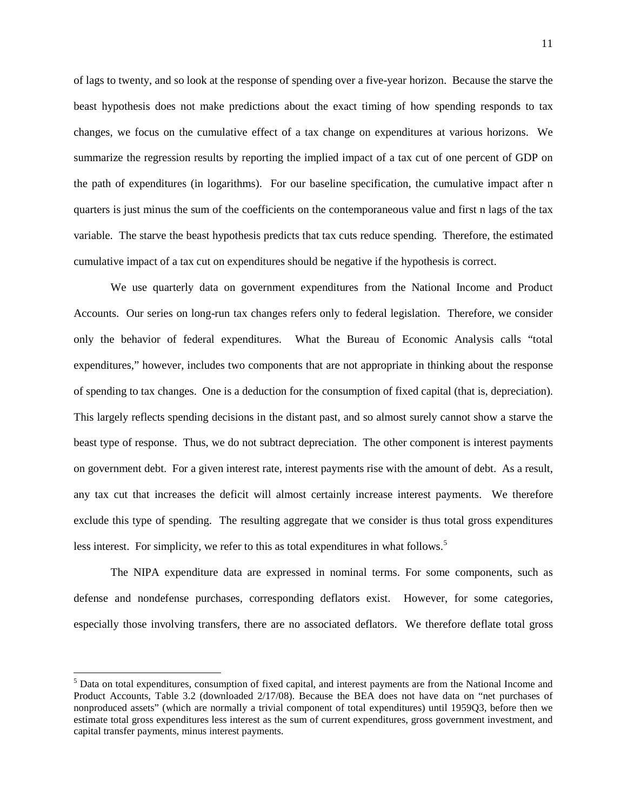of lags to twenty, and so look at the response of spending over a five-year horizon. Because the starve the beast hypothesis does not make predictions about the exact timing of how spending responds to tax changes, we focus on the cumulative effect of a tax change on expenditures at various horizons. We summarize the regression results by reporting the implied impact of a tax cut of one percent of GDP on the path of expenditures (in logarithms). For our baseline specification, the cumulative impact after n quarters is just minus the sum of the coefficients on the contemporaneous value and first n lags of the tax variable. The starve the beast hypothesis predicts that tax cuts reduce spending. Therefore, the estimated cumulative impact of a tax cut on expenditures should be negative if the hypothesis is correct.

We use quarterly data on government expenditures from the National Income and Product Accounts. Our series on long-run tax changes refers only to federal legislation. Therefore, we consider only the behavior of federal expenditures. What the Bureau of Economic Analysis calls "total expenditures," however, includes two components that are not appropriate in thinking about the response of spending to tax changes. One is a deduction for the consumption of fixed capital (that is, depreciation). This largely reflects spending decisions in the distant past, and so almost surely cannot show a starve the beast type of response. Thus, we do not subtract depreciation. The other component is interest payments on government debt. For a given interest rate, interest payments rise with the amount of debt. As a result, any tax cut that increases the deficit will almost certainly increase interest payments. We therefore exclude this type of spending. The resulting aggregate that we consider is thus total gross expenditures less interest. For simplicity, we refer to this as total expenditures in what follows.<sup>[5](#page-12-0)</sup>

The NIPA expenditure data are expressed in nominal terms. For some components, such as defense and nondefense purchases, corresponding deflators exist. However, for some categories, especially those involving transfers, there are no associated deflators. We therefore deflate total gross

<span id="page-12-0"></span> <sup>5</sup> Data on total expenditures, consumption of fixed capital, and interest payments are from the National Income and Product Accounts, Table 3.2 (downloaded 2/17/08). Because the BEA does not have data on "net purchases of nonproduced assets" (which are normally a trivial component of total expenditures) until 1959Q3, before then we estimate total gross expenditures less interest as the sum of current expenditures, gross government investment, and capital transfer payments, minus interest payments.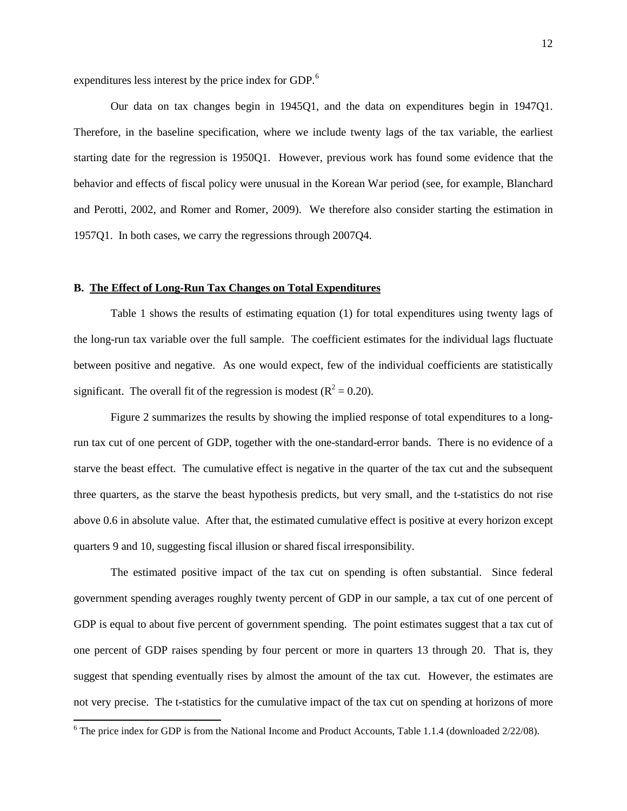expenditures less interest by the price index for GDP.<sup>[6](#page-13-0)</sup>

Our data on tax changes begin in 1945Q1, and the data on expenditures begin in 1947Q1. Therefore, in the baseline specification, where we include twenty lags of the tax variable, the earliest starting date for the regression is 1950Q1. However, previous work has found some evidence that the behavior and effects of fiscal policy were unusual in the Korean War period (see, for example, Blanchard and Perotti, 2002, and Romer and Romer, 2009). We therefore also consider starting the estimation in 1957Q1. In both cases, we carry the regressions through 2007Q4.

## **B. The Effect of Long-Run Tax Changes on Total Expenditures**

Table 1 shows the results of estimating equation (1) for total expenditures using twenty lags of the long-run tax variable over the full sample. The coefficient estimates for the individual lags fluctuate between positive and negative. As one would expect, few of the individual coefficients are statistically significant. The overall fit of the regression is modest ( $\mathbb{R}^2 = 0.20$ ).

Figure 2 summarizes the results by showing the implied response of total expenditures to a longrun tax cut of one percent of GDP, together with the one-standard-error bands. There is no evidence of a starve the beast effect. The cumulative effect is negative in the quarter of the tax cut and the subsequent three quarters, as the starve the beast hypothesis predicts, but very small, and the t-statistics do not rise above 0.6 in absolute value. After that, the estimated cumulative effect is positive at every horizon except quarters 9 and 10, suggesting fiscal illusion or shared fiscal irresponsibility.

The estimated positive impact of the tax cut on spending is often substantial. Since federal government spending averages roughly twenty percent of GDP in our sample, a tax cut of one percent of GDP is equal to about five percent of government spending. The point estimates suggest that a tax cut of one percent of GDP raises spending by four percent or more in quarters 13 through 20. That is, they suggest that spending eventually rises by almost the amount of the tax cut. However, the estimates are not very precise. The t-statistics for the cumulative impact of the tax cut on spending at horizons of more

<span id="page-13-0"></span><sup>&</sup>lt;sup>6</sup> The price index for GDP is from the National Income and Product Accounts, Table 1.1.4 (downloaded 2/22/08).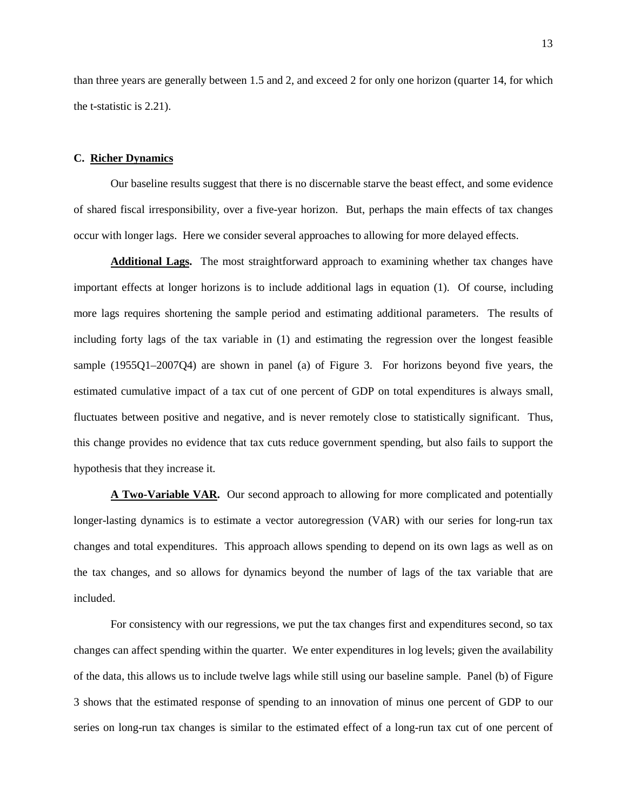than three years are generally between 1.5 and 2, and exceed 2 for only one horizon (quarter 14, for which the t-statistic is 2.21).

## **C. Richer Dynamics**

Our baseline results suggest that there is no discernable starve the beast effect, and some evidence of shared fiscal irresponsibility, over a five-year horizon. But, perhaps the main effects of tax changes occur with longer lags. Here we consider several approaches to allowing for more delayed effects.

**Additional Lags.** The most straightforward approach to examining whether tax changes have important effects at longer horizons is to include additional lags in equation (1). Of course, including more lags requires shortening the sample period and estimating additional parameters. The results of including forty lags of the tax variable in (1) and estimating the regression over the longest feasible sample (1955Q1–2007Q4) are shown in panel (a) of Figure 3. For horizons beyond five years, the estimated cumulative impact of a tax cut of one percent of GDP on total expenditures is always small, fluctuates between positive and negative, and is never remotely close to statistically significant. Thus, this change provides no evidence that tax cuts reduce government spending, but also fails to support the hypothesis that they increase it.

**A Two-Variable VAR.** Our second approach to allowing for more complicated and potentially longer-lasting dynamics is to estimate a vector autoregression (VAR) with our series for long-run tax changes and total expenditures. This approach allows spending to depend on its own lags as well as on the tax changes, and so allows for dynamics beyond the number of lags of the tax variable that are included.

For consistency with our regressions, we put the tax changes first and expenditures second, so tax changes can affect spending within the quarter. We enter expenditures in log levels; given the availability of the data, this allows us to include twelve lags while still using our baseline sample. Panel (b) of Figure 3 shows that the estimated response of spending to an innovation of minus one percent of GDP to our series on long-run tax changes is similar to the estimated effect of a long-run tax cut of one percent of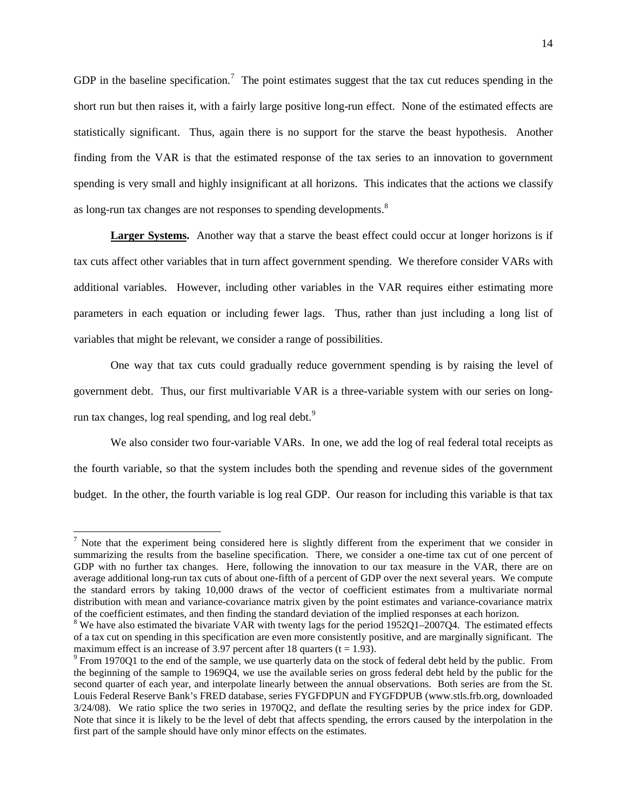GDP in the baseline specification.<sup>[7](#page-15-0)</sup> The point estimates suggest that the tax cut reduces spending in the short run but then raises it, with a fairly large positive long-run effect. None of the estimated effects are statistically significant. Thus, again there is no support for the starve the beast hypothesis. Another finding from the VAR is that the estimated response of the tax series to an innovation to government spending is very small and highly insignificant at all horizons. This indicates that the actions we classify as long-run tax changes are not responses to spending developments.<sup>[8](#page-15-1)</sup>

**Larger Systems.** Another way that a starve the beast effect could occur at longer horizons is if tax cuts affect other variables that in turn affect government spending. We therefore consider VARs with additional variables. However, including other variables in the VAR requires either estimating more parameters in each equation or including fewer lags. Thus, rather than just including a long list of variables that might be relevant, we consider a range of possibilities.

One way that tax cuts could gradually reduce government spending is by raising the level of government debt. Thus, our first multivariable VAR is a three-variable system with our series on long-run tax changes, log real spending, and log real debt.<sup>[9](#page-15-2)</sup>

We also consider two four-variable VARs. In one, we add the log of real federal total receipts as the fourth variable, so that the system includes both the spending and revenue sides of the government budget. In the other, the fourth variable is log real GDP. Our reason for including this variable is that tax

<span id="page-15-0"></span><sup>&</sup>lt;sup>7</sup> Note that the experiment being considered here is slightly different from the experiment that we consider in summarizing the results from the baseline specification. There, we consider a one-time tax cut of one percent of GDP with no further tax changes. Here, following the innovation to our tax measure in the VAR, there are on average additional long-run tax cuts of about one-fifth of a percent of GDP over the next several years. We compute the standard errors by taking 10,000 draws of the vector of coefficient estimates from a multivariate normal distribution with mean and variance-covariance matrix given by the point estimates and variance-covariance matrix of the coefficient estimates, and then finding the standard deviation of the implied responses at each horiz

<span id="page-15-1"></span> $8$  We have also estimated the bivariate VAR with twenty lags for the period 1952Q1–2007Q4. The estimated effects of a tax cut on spending in this specification are even more consistently positive, and are marginally significant. The maximum effect is an increase of 3.97 percent after 18 quarters ( $t = 1.93$ ).

<span id="page-15-2"></span><sup>9</sup> From 1970Q1 to the end of the sample, we use quarterly data on the stock of federal debt held by the public. From the beginning of the sample to 1969Q4, we use the available series on gross federal debt held by the public for the second quarter of each year, and interpolate linearly between the annual observations. Both series are from the St. Louis Federal Reserve Bank's FRED database, series FYGFDPUN and FYGFDPUB (www.stls.frb.org, downloaded 3/24/08). We ratio splice the two series in 1970Q2, and deflate the resulting series by the price index for GDP. Note that since it is likely to be the level of debt that affects spending, the errors caused by the interpolation in the first part of the sample should have only minor effects on the estimates.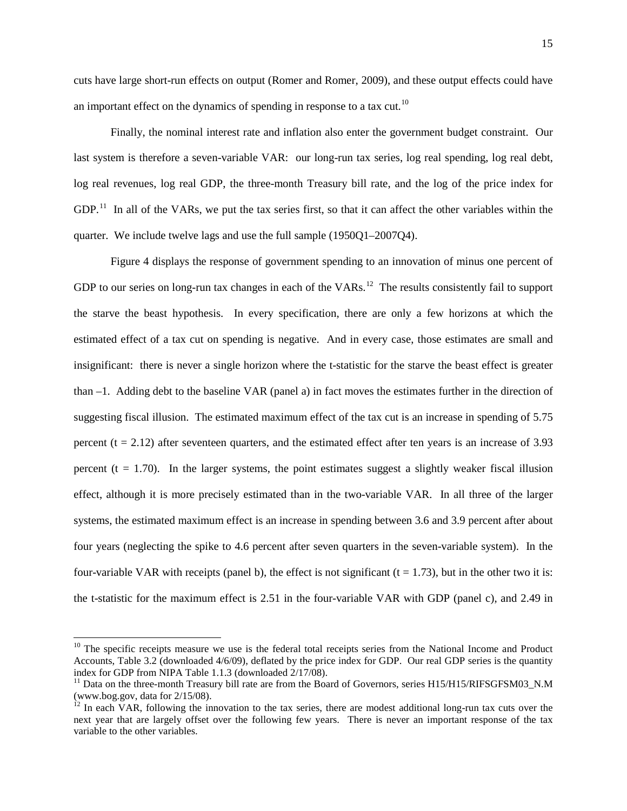cuts have large short-run effects on output (Romer and Romer, 2009), and these output effects could have an important effect on the dynamics of spending in response to a tax cut.<sup>[10](#page-16-0)</sup>

Finally, the nominal interest rate and inflation also enter the government budget constraint. Our last system is therefore a seven-variable VAR: our long-run tax series, log real spending, log real debt, log real revenues, log real GDP, the three-month Treasury bill rate, and the log of the price index for GDP.<sup>[11](#page-16-1)</sup> In all of the VARs, we put the tax series first, so that it can affect the other variables within the quarter. We include twelve lags and use the full sample (1950Q1–2007Q4).

Figure 4 displays the response of government spending to an innovation of minus one percent of GDP to our series on long-run tax changes in each of the VARs.<sup>[12](#page-16-2)</sup> The results consistently fail to support the starve the beast hypothesis. In every specification, there are only a few horizons at which the estimated effect of a tax cut on spending is negative. And in every case, those estimates are small and insignificant: there is never a single horizon where the t-statistic for the starve the beast effect is greater than –1. Adding debt to the baseline VAR (panel a) in fact moves the estimates further in the direction of suggesting fiscal illusion. The estimated maximum effect of the tax cut is an increase in spending of 5.75 percent  $(t = 2.12)$  after seventeen quarters, and the estimated effect after ten years is an increase of 3.93 percent ( $t = 1.70$ ). In the larger systems, the point estimates suggest a slightly weaker fiscal illusion effect, although it is more precisely estimated than in the two-variable VAR. In all three of the larger systems, the estimated maximum effect is an increase in spending between 3.6 and 3.9 percent after about four years (neglecting the spike to 4.6 percent after seven quarters in the seven-variable system). In the four-variable VAR with receipts (panel b), the effect is not significant  $(t = 1.73)$ , but in the other two it is: the t-statistic for the maximum effect is 2.51 in the four-variable VAR with GDP (panel c), and 2.49 in

<span id="page-16-0"></span> $10$  The specific receipts measure we use is the federal total receipts series from the National Income and Product Accounts, Table 3.2 (downloaded 4/6/09), deflated by the price index for GDP. Our real GDP series is the quantity index for GDP from NIPA Table 1.1.3 (downloaded 2/17/08).

<span id="page-16-1"></span><sup>&</sup>lt;sup>11</sup> Data on the three-month Treasury bill rate are from the Board of Governors, series H15/H15/RIFSGFSM03\_N.M (www.bog.gov, data for  $2/15/08$ ).<br><sup>12</sup> In each VAR, following the innovation to the tax series, there are modest additional long-run tax cuts over the

<span id="page-16-2"></span>next year that are largely offset over the following few years. There is never an important response of the tax variable to the other variables.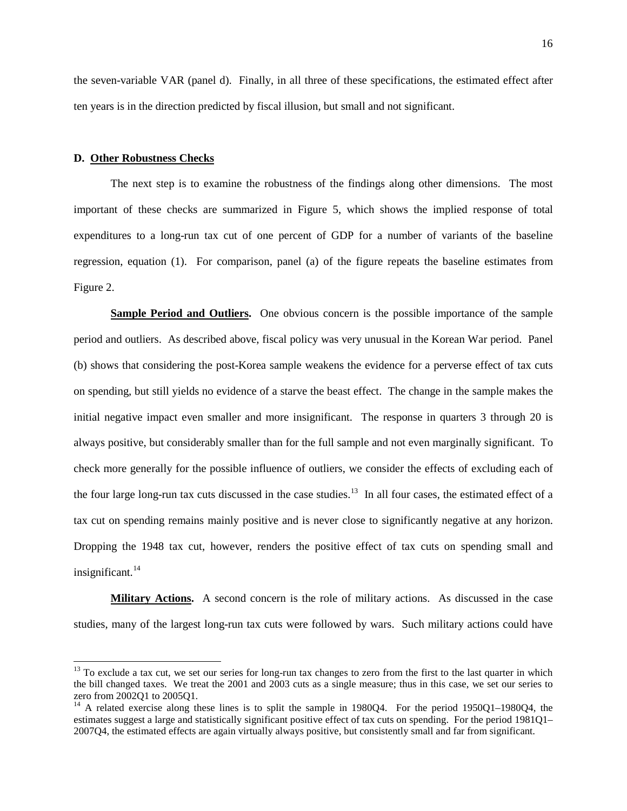the seven-variable VAR (panel d). Finally, in all three of these specifications, the estimated effect after ten years is in the direction predicted by fiscal illusion, but small and not significant.

## **D. Other Robustness Checks**

The next step is to examine the robustness of the findings along other dimensions. The most important of these checks are summarized in Figure 5, which shows the implied response of total expenditures to a long-run tax cut of one percent of GDP for a number of variants of the baseline regression, equation (1). For comparison, panel (a) of the figure repeats the baseline estimates from Figure 2.

**Sample Period and Outliers.** One obvious concern is the possible importance of the sample period and outliers. As described above, fiscal policy was very unusual in the Korean War period. Panel (b) shows that considering the post-Korea sample weakens the evidence for a perverse effect of tax cuts on spending, but still yields no evidence of a starve the beast effect. The change in the sample makes the initial negative impact even smaller and more insignificant. The response in quarters 3 through 20 is always positive, but considerably smaller than for the full sample and not even marginally significant. To check more generally for the possible influence of outliers, we consider the effects of excluding each of the four large long-run tax cuts discussed in the case studies.<sup>13</sup> In all four cases, the estimated effect of a tax cut on spending remains mainly positive and is never close to significantly negative at any horizon. Dropping the 1948 tax cut, however, renders the positive effect of tax cuts on spending small and insignificant. $^{14}$  $^{14}$  $^{14}$ 

**Military Actions.** A second concern is the role of military actions. As discussed in the case studies, many of the largest long-run tax cuts were followed by wars. Such military actions could have

<span id="page-17-0"></span> $13$  To exclude a tax cut, we set our series for long-run tax changes to zero from the first to the last quarter in which the bill changed taxes. We treat the 2001 and 2003 cuts as a single measure; thus in this case, we set our series to zero from 2002Q1 to 2005Q1.

<span id="page-17-1"></span><sup>&</sup>lt;sup>14</sup> A related exercise along these lines is to split the sample in 1980Q4. For the period 1950Q1–1980Q4, the estimates suggest a large and statistically significant positive effect of tax cuts on spending. For the period 1981Q1– 2007Q4, the estimated effects are again virtually always positive, but consistently small and far from significant.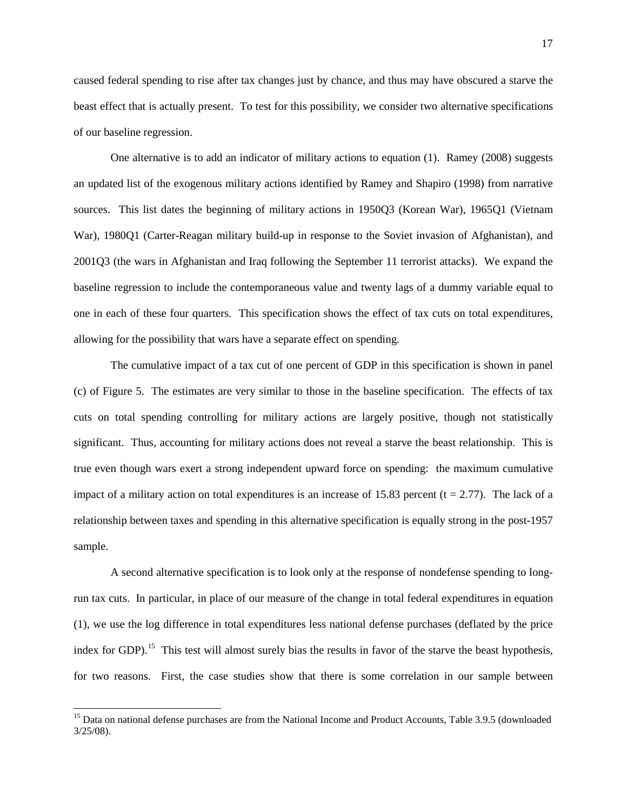caused federal spending to rise after tax changes just by chance, and thus may have obscured a starve the beast effect that is actually present. To test for this possibility, we consider two alternative specifications of our baseline regression.

One alternative is to add an indicator of military actions to equation (1). Ramey (2008) suggests an updated list of the exogenous military actions identified by Ramey and Shapiro (1998) from narrative sources. This list dates the beginning of military actions in 1950Q3 (Korean War), 1965Q1 (Vietnam War), 1980Q1 (Carter-Reagan military build-up in response to the Soviet invasion of Afghanistan), and 2001Q3 (the wars in Afghanistan and Iraq following the September 11 terrorist attacks). We expand the baseline regression to include the contemporaneous value and twenty lags of a dummy variable equal to one in each of these four quarters. This specification shows the effect of tax cuts on total expenditures, allowing for the possibility that wars have a separate effect on spending.

The cumulative impact of a tax cut of one percent of GDP in this specification is shown in panel (c) of Figure 5. The estimates are very similar to those in the baseline specification. The effects of tax cuts on total spending controlling for military actions are largely positive, though not statistically significant. Thus, accounting for military actions does not reveal a starve the beast relationship. This is true even though wars exert a strong independent upward force on spending: the maximum cumulative impact of a military action on total expenditures is an increase of 15.83 percent  $(t = 2.77)$ . The lack of a relationship between taxes and spending in this alternative specification is equally strong in the post-1957 sample.

A second alternative specification is to look only at the response of nondefense spending to longrun tax cuts. In particular, in place of our measure of the change in total federal expenditures in equation (1), we use the log difference in total expenditures less national defense purchases (deflated by the price index for GDP).<sup>[15](#page-18-0)</sup> This test will almost surely bias the results in favor of the starve the beast hypothesis, for two reasons. First, the case studies show that there is some correlation in our sample between

<span id="page-18-0"></span><sup>&</sup>lt;sup>15</sup> Data on national defense purchases are from the National Income and Product Accounts, Table 3.9.5 (downloaded 3/25/08).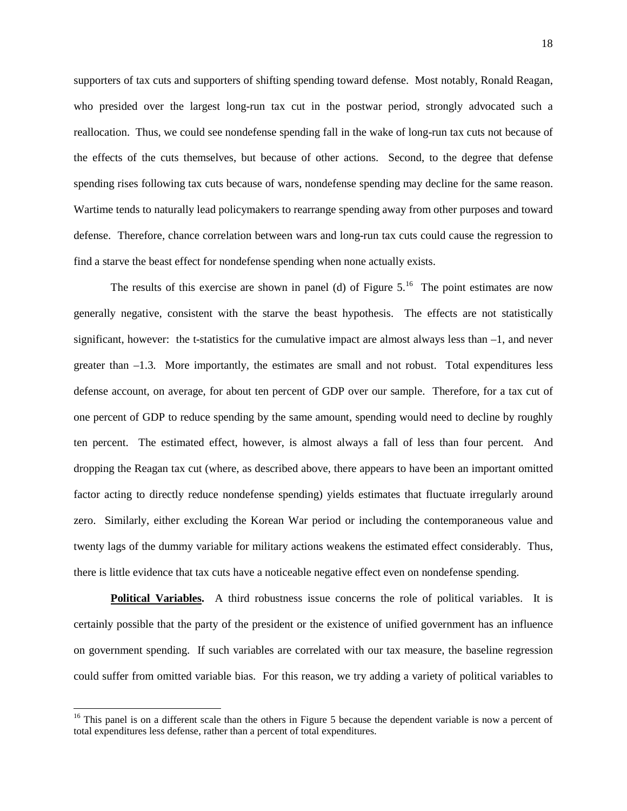supporters of tax cuts and supporters of shifting spending toward defense. Most notably, Ronald Reagan, who presided over the largest long-run tax cut in the postwar period, strongly advocated such a reallocation. Thus, we could see nondefense spending fall in the wake of long-run tax cuts not because of the effects of the cuts themselves, but because of other actions. Second, to the degree that defense spending rises following tax cuts because of wars, nondefense spending may decline for the same reason. Wartime tends to naturally lead policymakers to rearrange spending away from other purposes and toward defense. Therefore, chance correlation between wars and long-run tax cuts could cause the regression to find a starve the beast effect for nondefense spending when none actually exists.

The results of this exercise are shown in panel (d) of Figure  $5.^{16}$  $5.^{16}$  $5.^{16}$ . The point estimates are now generally negative, consistent with the starve the beast hypothesis. The effects are not statistically significant, however: the t-statistics for the cumulative impact are almost always less than –1, and never greater than –1.3. More importantly, the estimates are small and not robust. Total expenditures less defense account, on average, for about ten percent of GDP over our sample. Therefore, for a tax cut of one percent of GDP to reduce spending by the same amount, spending would need to decline by roughly ten percent. The estimated effect, however, is almost always a fall of less than four percent. And dropping the Reagan tax cut (where, as described above, there appears to have been an important omitted factor acting to directly reduce nondefense spending) yields estimates that fluctuate irregularly around zero. Similarly, either excluding the Korean War period or including the contemporaneous value and twenty lags of the dummy variable for military actions weakens the estimated effect considerably. Thus, there is little evidence that tax cuts have a noticeable negative effect even on nondefense spending.

**Political Variables.** A third robustness issue concerns the role of political variables. It is certainly possible that the party of the president or the existence of unified government has an influence on government spending. If such variables are correlated with our tax measure, the baseline regression could suffer from omitted variable bias. For this reason, we try adding a variety of political variables to

<span id="page-19-0"></span><sup>&</sup>lt;sup>16</sup> This panel is on a different scale than the others in Figure 5 because the dependent variable is now a percent of total expenditures less defense, rather than a percent of total expenditures.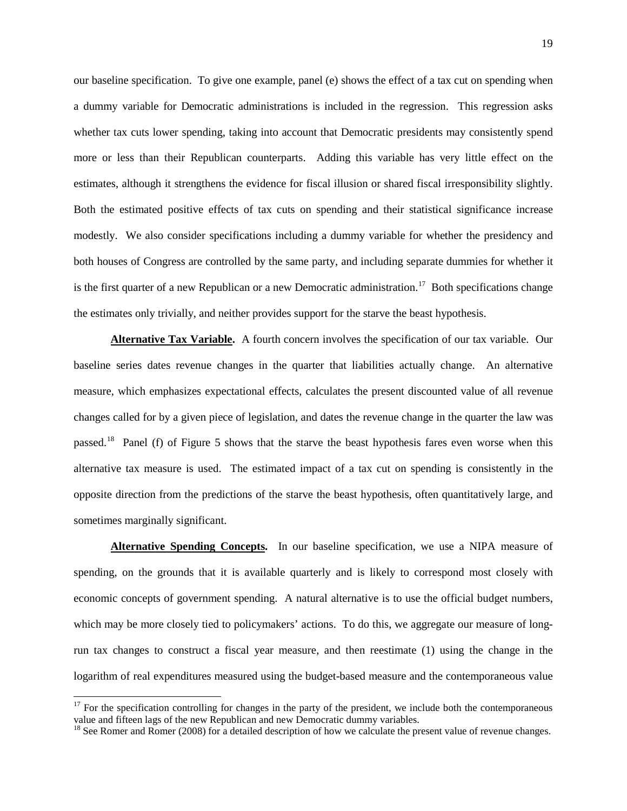our baseline specification. To give one example, panel (e) shows the effect of a tax cut on spending when a dummy variable for Democratic administrations is included in the regression. This regression asks whether tax cuts lower spending, taking into account that Democratic presidents may consistently spend more or less than their Republican counterparts. Adding this variable has very little effect on the estimates, although it strengthens the evidence for fiscal illusion or shared fiscal irresponsibility slightly. Both the estimated positive effects of tax cuts on spending and their statistical significance increase modestly. We also consider specifications including a dummy variable for whether the presidency and both houses of Congress are controlled by the same party, and including separate dummies for whether it is the first quarter of a new Republican or a new Democratic administration.<sup>[17](#page-20-0)</sup> Both specifications change the estimates only trivially, and neither provides support for the starve the beast hypothesis.

**Alternative Tax Variable.** A fourth concern involves the specification of our tax variable. Our baseline series dates revenue changes in the quarter that liabilities actually change. An alternative measure, which emphasizes expectational effects, calculates the present discounted value of all revenue changes called for by a given piece of legislation, and dates the revenue change in the quarter the law was passed.<sup>[18](#page-20-1)</sup> Panel (f) of Figure 5 shows that the starve the beast hypothesis fares even worse when this alternative tax measure is used. The estimated impact of a tax cut on spending is consistently in the opposite direction from the predictions of the starve the beast hypothesis, often quantitatively large, and sometimes marginally significant.

**Alternative Spending Concepts.** In our baseline specification, we use a NIPA measure of spending, on the grounds that it is available quarterly and is likely to correspond most closely with economic concepts of government spending. A natural alternative is to use the official budget numbers, which may be more closely tied to policymakers' actions. To do this, we aggregate our measure of longrun tax changes to construct a fiscal year measure, and then reestimate (1) using the change in the logarithm of real expenditures measured using the budget-based measure and the contemporaneous value

<span id="page-20-0"></span> $17$  For the specification controlling for changes in the party of the president, we include both the contemporaneous value and fifteen lags of the new Republican and new Democratic dummy variables.

<span id="page-20-1"></span><sup>&</sup>lt;sup>18</sup> See Romer and Romer (2008) for a detailed description of how we calculate the present value of revenue changes.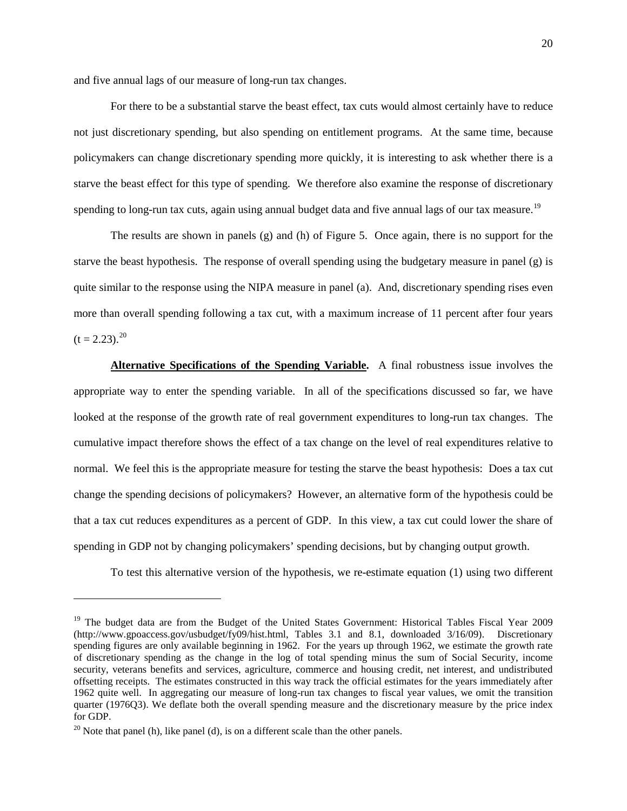and five annual lags of our measure of long-run tax changes.

For there to be a substantial starve the beast effect, tax cuts would almost certainly have to reduce not just discretionary spending, but also spending on entitlement programs. At the same time, because policymakers can change discretionary spending more quickly, it is interesting to ask whether there is a starve the beast effect for this type of spending. We therefore also examine the response of discretionary spending to long-run tax cuts, again using annual budget data and five annual lags of our tax measure.<sup>[19](#page-21-0)</sup>

The results are shown in panels (g) and (h) of Figure 5. Once again, there is no support for the starve the beast hypothesis. The response of overall spending using the budgetary measure in panel (g) is quite similar to the response using the NIPA measure in panel (a). And, discretionary spending rises even more than overall spending following a tax cut, with a maximum increase of 11 percent after four years  $(t = 2.23)^{20}$  $(t = 2.23)^{20}$  $(t = 2.23)^{20}$ 

**Alternative Specifications of the Spending Variable.** A final robustness issue involves the appropriate way to enter the spending variable. In all of the specifications discussed so far, we have looked at the response of the growth rate of real government expenditures to long-run tax changes. The cumulative impact therefore shows the effect of a tax change on the level of real expenditures relative to normal. We feel this is the appropriate measure for testing the starve the beast hypothesis: Does a tax cut change the spending decisions of policymakers? However, an alternative form of the hypothesis could be that a tax cut reduces expenditures as a percent of GDP. In this view, a tax cut could lower the share of spending in GDP not by changing policymakers' spending decisions, but by changing output growth.

To test this alternative version of the hypothesis, we re-estimate equation (1) using two different

 $\overline{a}$ 

<span id="page-21-0"></span><sup>&</sup>lt;sup>19</sup> The budget data are from the Budget of the United States Government: Historical Tables Fiscal Year 2009 [\(http://www.gpoaccess.gov/usbudget/fy09/hist.html,](http://www.gpoaccess.gov/usbudget/fy09/hist.html) Tables 3.1 and 8.1, downloaded 3/16/09). Discretionary spending figures are only available beginning in 1962. For the years up through 1962, we estimate the growth rate of discretionary spending as the change in the log of total spending minus the sum of Social Security, income security, veterans benefits and services, agriculture, commerce and housing credit, net interest, and undistributed offsetting receipts. The estimates constructed in this way track the official estimates for the years immediately after 1962 quite well. In aggregating our measure of long-run tax changes to fiscal year values, we omit the transition quarter (1976Q3). We deflate both the overall spending measure and the discretionary measure by the price index for GDP.

<span id="page-21-1"></span> $20$  Note that panel (h), like panel (d), is on a different scale than the other panels.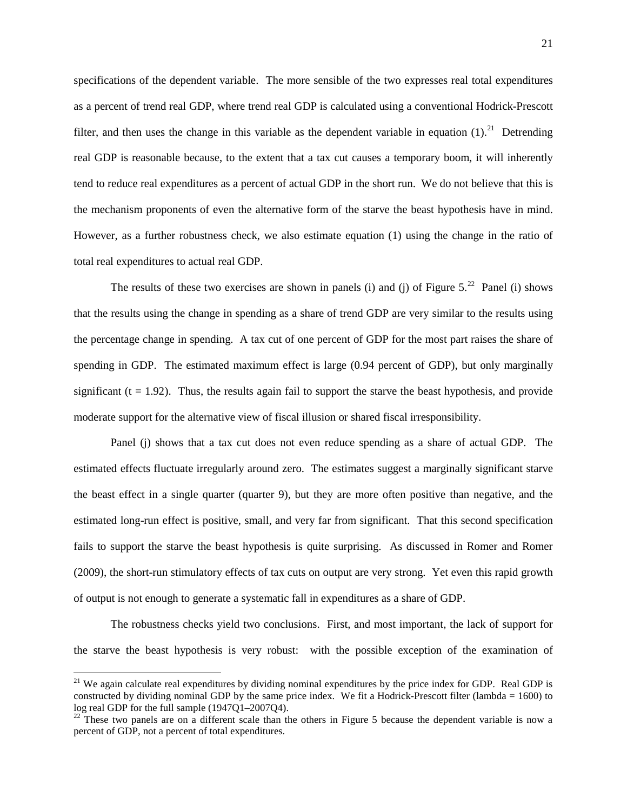specifications of the dependent variable. The more sensible of the two expresses real total expenditures as a percent of trend real GDP, where trend real GDP is calculated using a conventional Hodrick-Prescott filter, and then uses the change in this variable as the dependent variable in equation  $(1)$ .<sup>[21](#page-22-0)</sup> Detrending real GDP is reasonable because, to the extent that a tax cut causes a temporary boom, it will inherently tend to reduce real expenditures as a percent of actual GDP in the short run. We do not believe that this is the mechanism proponents of even the alternative form of the starve the beast hypothesis have in mind. However, as a further robustness check, we also estimate equation (1) using the change in the ratio of total real expenditures to actual real GDP.

The results of these two exercises are shown in panels (i) and (j) of Figure  $5.^{22}$  $5.^{22}$  $5.^{22}$  Panel (i) shows that the results using the change in spending as a share of trend GDP are very similar to the results using the percentage change in spending. A tax cut of one percent of GDP for the most part raises the share of spending in GDP. The estimated maximum effect is large (0.94 percent of GDP), but only marginally significant  $(t = 1.92)$ . Thus, the results again fail to support the starve the beast hypothesis, and provide moderate support for the alternative view of fiscal illusion or shared fiscal irresponsibility.

Panel (j) shows that a tax cut does not even reduce spending as a share of actual GDP. The estimated effects fluctuate irregularly around zero. The estimates suggest a marginally significant starve the beast effect in a single quarter (quarter 9), but they are more often positive than negative, and the estimated long-run effect is positive, small, and very far from significant. That this second specification fails to support the starve the beast hypothesis is quite surprising. As discussed in Romer and Romer (2009), the short-run stimulatory effects of tax cuts on output are very strong. Yet even this rapid growth of output is not enough to generate a systematic fall in expenditures as a share of GDP.

The robustness checks yield two conclusions. First, and most important, the lack of support for the starve the beast hypothesis is very robust: with the possible exception of the examination of

<span id="page-22-0"></span> $21$  We again calculate real expenditures by dividing nominal expenditures by the price index for GDP. Real GDP is constructed by dividing nominal GDP by the same price index. We fit a Hodrick-Prescott filter (lambda = 1600) to log real GDP for the full sample (1947Q1–2007Q4).

<span id="page-22-1"></span> $\frac{22}{2}$  These two panels are on a different scale than the others in Figure 5 because the dependent variable is now a percent of GDP, not a percent of total expenditures.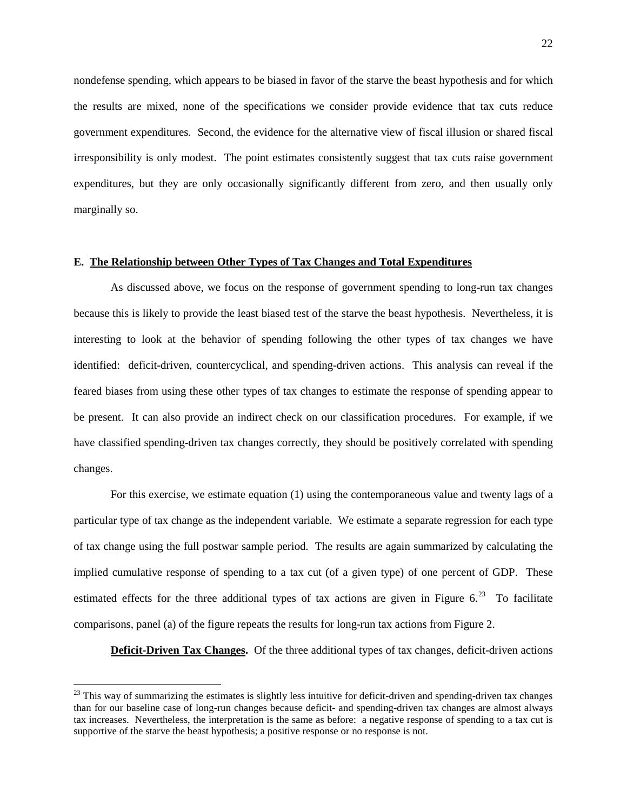nondefense spending, which appears to be biased in favor of the starve the beast hypothesis and for which the results are mixed, none of the specifications we consider provide evidence that tax cuts reduce government expenditures. Second, the evidence for the alternative view of fiscal illusion or shared fiscal irresponsibility is only modest. The point estimates consistently suggest that tax cuts raise government expenditures, but they are only occasionally significantly different from zero, and then usually only marginally so.

#### **E. The Relationship between Other Types of Tax Changes and Total Expenditures**

As discussed above, we focus on the response of government spending to long-run tax changes because this is likely to provide the least biased test of the starve the beast hypothesis. Nevertheless, it is interesting to look at the behavior of spending following the other types of tax changes we have identified: deficit-driven, countercyclical, and spending-driven actions. This analysis can reveal if the feared biases from using these other types of tax changes to estimate the response of spending appear to be present. It can also provide an indirect check on our classification procedures. For example, if we have classified spending-driven tax changes correctly, they should be positively correlated with spending changes.

For this exercise, we estimate equation (1) using the contemporaneous value and twenty lags of a particular type of tax change as the independent variable. We estimate a separate regression for each type of tax change using the full postwar sample period. The results are again summarized by calculating the implied cumulative response of spending to a tax cut (of a given type) of one percent of GDP. These estimated effects for the three additional types of tax actions are given in Figure  $6.^{23}$  $6.^{23}$  $6.^{23}$  To facilitate comparisons, panel (a) of the figure repeats the results for long-run tax actions from Figure 2.

**Deficit-Driven Tax Changes.** Of the three additional types of tax changes, deficit-driven actions

<span id="page-23-0"></span> $23$  This way of summarizing the estimates is slightly less intuitive for deficit-driven and spending-driven tax changes than for our baseline case of long-run changes because deficit- and spending-driven tax changes are almost always tax increases. Nevertheless, the interpretation is the same as before: a negative response of spending to a tax cut is supportive of the starve the beast hypothesis; a positive response or no response is not.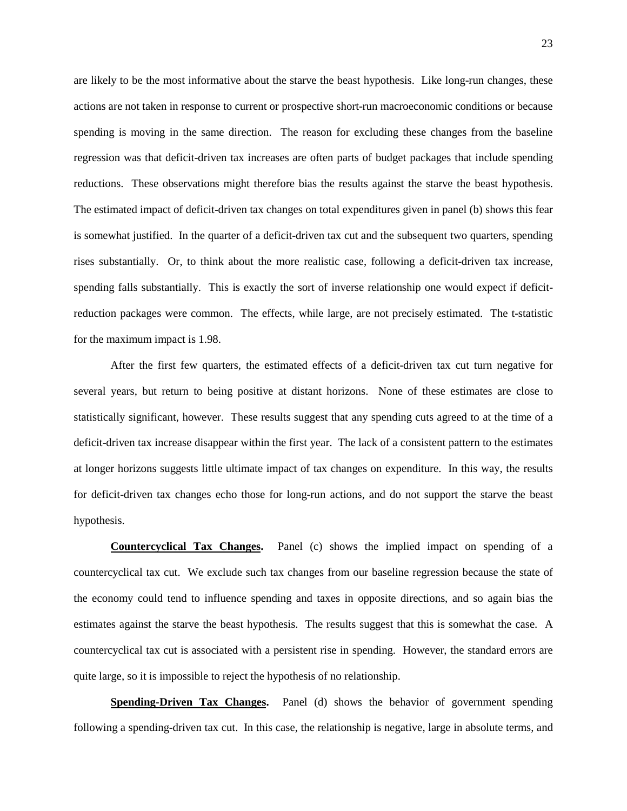are likely to be the most informative about the starve the beast hypothesis. Like long-run changes, these actions are not taken in response to current or prospective short-run macroeconomic conditions or because spending is moving in the same direction. The reason for excluding these changes from the baseline regression was that deficit-driven tax increases are often parts of budget packages that include spending reductions. These observations might therefore bias the results against the starve the beast hypothesis. The estimated impact of deficit-driven tax changes on total expenditures given in panel (b) shows this fear is somewhat justified. In the quarter of a deficit-driven tax cut and the subsequent two quarters, spending rises substantially. Or, to think about the more realistic case, following a deficit-driven tax increase, spending falls substantially. This is exactly the sort of inverse relationship one would expect if deficitreduction packages were common. The effects, while large, are not precisely estimated. The t-statistic for the maximum impact is 1.98.

After the first few quarters, the estimated effects of a deficit-driven tax cut turn negative for several years, but return to being positive at distant horizons. None of these estimates are close to statistically significant, however. These results suggest that any spending cuts agreed to at the time of a deficit-driven tax increase disappear within the first year. The lack of a consistent pattern to the estimates at longer horizons suggests little ultimate impact of tax changes on expenditure. In this way, the results for deficit-driven tax changes echo those for long-run actions, and do not support the starve the beast hypothesis.

**Countercyclical Tax Changes.** Panel (c) shows the implied impact on spending of a countercyclical tax cut. We exclude such tax changes from our baseline regression because the state of the economy could tend to influence spending and taxes in opposite directions, and so again bias the estimates against the starve the beast hypothesis. The results suggest that this is somewhat the case. A countercyclical tax cut is associated with a persistent rise in spending. However, the standard errors are quite large, so it is impossible to reject the hypothesis of no relationship.

**Spending-Driven Tax Changes.** Panel (d) shows the behavior of government spending following a spending-driven tax cut. In this case, the relationship is negative, large in absolute terms, and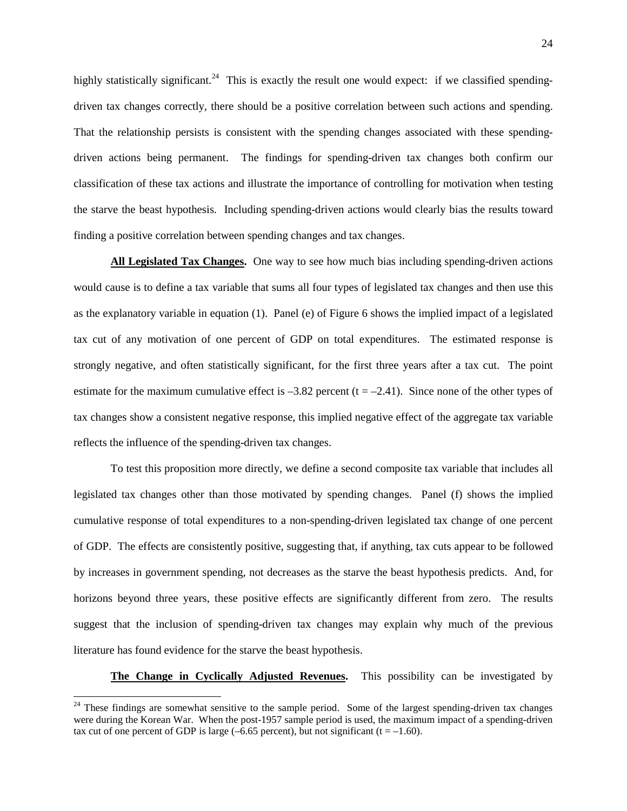highly statistically significant.<sup>[24](#page-25-0)</sup> This is exactly the result one would expect: if we classified spendingdriven tax changes correctly, there should be a positive correlation between such actions and spending. That the relationship persists is consistent with the spending changes associated with these spendingdriven actions being permanent. The findings for spending-driven tax changes both confirm our classification of these tax actions and illustrate the importance of controlling for motivation when testing the starve the beast hypothesis. Including spending-driven actions would clearly bias the results toward finding a positive correlation between spending changes and tax changes.

**All Legislated Tax Changes.** One way to see how much bias including spending-driven actions would cause is to define a tax variable that sums all four types of legislated tax changes and then use this as the explanatory variable in equation (1). Panel (e) of Figure 6 shows the implied impact of a legislated tax cut of any motivation of one percent of GDP on total expenditures. The estimated response is strongly negative, and often statistically significant, for the first three years after a tax cut. The point estimate for the maximum cumulative effect is  $-3.82$  percent (t =  $-2.41$ ). Since none of the other types of tax changes show a consistent negative response, this implied negative effect of the aggregate tax variable reflects the influence of the spending-driven tax changes.

To test this proposition more directly, we define a second composite tax variable that includes all legislated tax changes other than those motivated by spending changes. Panel (f) shows the implied cumulative response of total expenditures to a non-spending-driven legislated tax change of one percent of GDP. The effects are consistently positive, suggesting that, if anything, tax cuts appear to be followed by increases in government spending, not decreases as the starve the beast hypothesis predicts. And, for horizons beyond three years, these positive effects are significantly different from zero. The results suggest that the inclusion of spending-driven tax changes may explain why much of the previous literature has found evidence for the starve the beast hypothesis.

**The Change in Cyclically Adjusted Revenues.** This possibility can be investigated by

<span id="page-25-0"></span> $24$  These findings are somewhat sensitive to the sample period. Some of the largest spending-driven tax changes were during the Korean War. When the post-1957 sample period is used, the maximum impact of a spending-driven tax cut of one percent of GDP is large  $(-6.65$  percent), but not significant  $(t = -1.60)$ .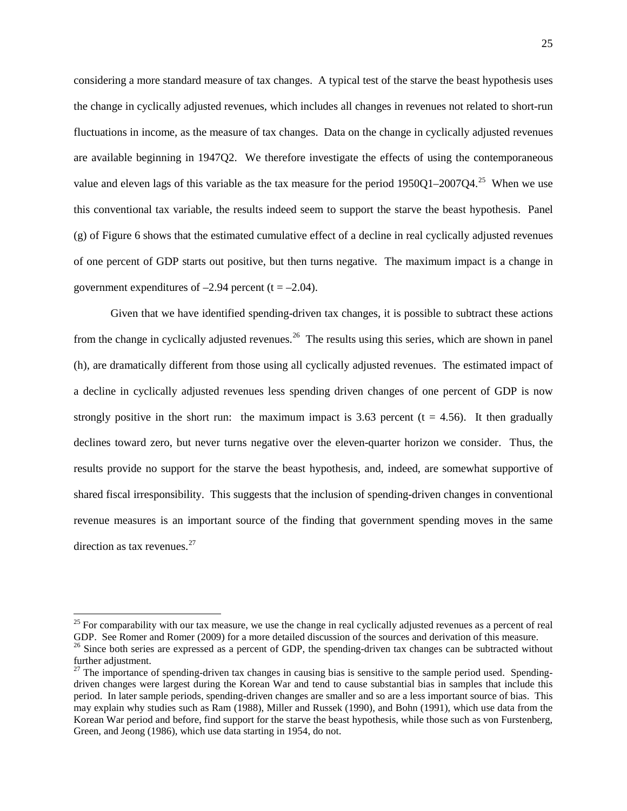considering a more standard measure of tax changes. A typical test of the starve the beast hypothesis uses the change in cyclically adjusted revenues, which includes all changes in revenues not related to short-run fluctuations in income, as the measure of tax changes. Data on the change in cyclically adjusted revenues are available beginning in 1947Q2. We therefore investigate the effects of using the contemporaneous value and eleven lags of this variable as the tax measure for the period  $1950Q1-2007Q4$ <sup>[25](#page-26-0)</sup> When we use this conventional tax variable, the results indeed seem to support the starve the beast hypothesis. Panel (g) of Figure 6 shows that the estimated cumulative effect of a decline in real cyclically adjusted revenues of one percent of GDP starts out positive, but then turns negative. The maximum impact is a change in government expenditures of  $-2.94$  percent (t =  $-2.04$ ).

Given that we have identified spending-driven tax changes, it is possible to subtract these actions from the change in cyclically adjusted revenues.<sup>26</sup> The results using this series, which are shown in panel (h), are dramatically different from those using all cyclically adjusted revenues. The estimated impact of a decline in cyclically adjusted revenues less spending driven changes of one percent of GDP is now strongly positive in the short run: the maximum impact is 3.63 percent  $(t = 4.56)$ . It then gradually declines toward zero, but never turns negative over the eleven-quarter horizon we consider. Thus, the results provide no support for the starve the beast hypothesis, and, indeed, are somewhat supportive of shared fiscal irresponsibility. This suggests that the inclusion of spending-driven changes in conventional revenue measures is an important source of the finding that government spending moves in the same direction as tax revenues. $27$ 

<span id="page-26-0"></span> $25$  For comparability with our tax measure, we use the change in real cyclically adjusted revenues as a percent of real GDP. See Romer and Romer (2009) for a more detailed discussion of the sources and derivation of this measure.

<span id="page-26-1"></span> $26$  Since both series are expressed as a percent of GDP, the spending-driven tax changes can be subtracted without further adjustment.

<span id="page-26-2"></span> $27$  The importance of spending-driven tax changes in causing bias is sensitive to the sample period used. Spendingdriven changes were largest during the Korean War and tend to cause substantial bias in samples that include this period. In later sample periods, spending-driven changes are smaller and so are a less important source of bias. This may explain why studies such as Ram (1988), Miller and Russek (1990), and Bohn (1991), which use data from the Korean War period and before, find support for the starve the beast hypothesis, while those such as von Furstenberg, Green, and Jeong (1986), which use data starting in 1954, do not.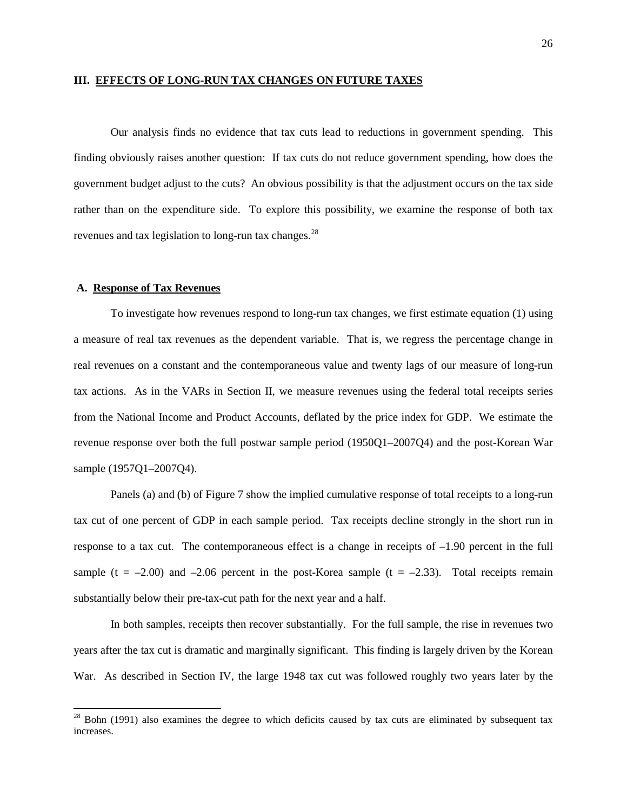#### **III. EFFECTS OF LONG-RUN TAX CHANGES ON FUTURE TAXES**

Our analysis finds no evidence that tax cuts lead to reductions in government spending. This finding obviously raises another question: If tax cuts do not reduce government spending, how does the government budget adjust to the cuts? An obvious possibility is that the adjustment occurs on the tax side rather than on the expenditure side. To explore this possibility, we examine the response of both tax revenues and tax legislation to long-run tax changes.<sup>[28](#page-27-0)</sup>

## **A. Response of Tax Revenues**

To investigate how revenues respond to long-run tax changes, we first estimate equation (1) using a measure of real tax revenues as the dependent variable. That is, we regress the percentage change in real revenues on a constant and the contemporaneous value and twenty lags of our measure of long-run tax actions. As in the VARs in Section II, we measure revenues using the federal total receipts series from the National Income and Product Accounts, deflated by the price index for GDP. We estimate the revenue response over both the full postwar sample period (1950Q1–2007Q4) and the post-Korean War sample (1957Q1–2007Q4).

Panels (a) and (b) of Figure 7 show the implied cumulative response of total receipts to a long-run tax cut of one percent of GDP in each sample period. Tax receipts decline strongly in the short run in response to a tax cut. The contemporaneous effect is a change in receipts of –1.90 percent in the full sample (t =  $-2.00$ ) and  $-2.06$  percent in the post-Korea sample (t =  $-2.33$ ). Total receipts remain substantially below their pre-tax-cut path for the next year and a half.

In both samples, receipts then recover substantially. For the full sample, the rise in revenues two years after the tax cut is dramatic and marginally significant. This finding is largely driven by the Korean War. As described in Section IV, the large 1948 tax cut was followed roughly two years later by the

<span id="page-27-0"></span> $28$  Bohn (1991) also examines the degree to which deficits caused by tax cuts are eliminated by subsequent tax increases.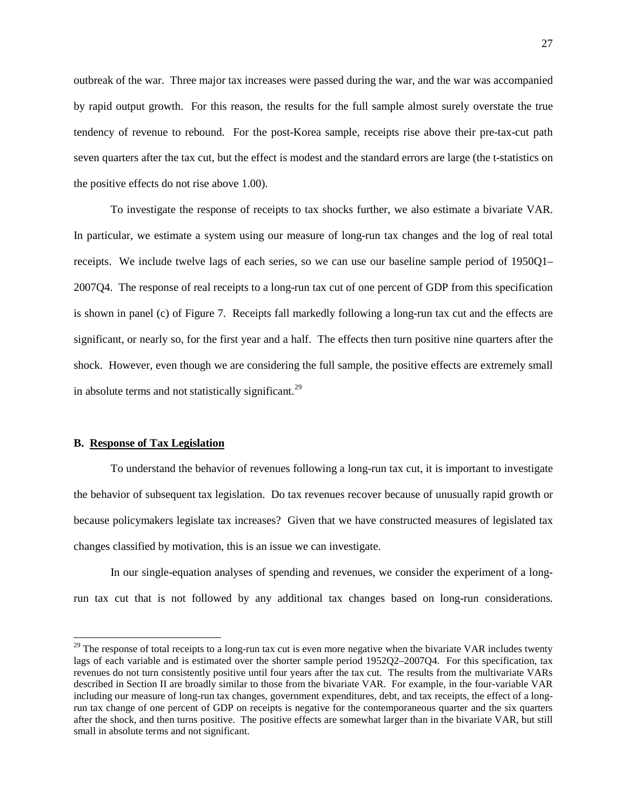outbreak of the war. Three major tax increases were passed during the war, and the war was accompanied by rapid output growth. For this reason, the results for the full sample almost surely overstate the true tendency of revenue to rebound. For the post-Korea sample, receipts rise above their pre-tax-cut path seven quarters after the tax cut, but the effect is modest and the standard errors are large (the t-statistics on the positive effects do not rise above 1.00).

To investigate the response of receipts to tax shocks further, we also estimate a bivariate VAR. In particular, we estimate a system using our measure of long-run tax changes and the log of real total receipts. We include twelve lags of each series, so we can use our baseline sample period of 1950Q1– 2007Q4. The response of real receipts to a long-run tax cut of one percent of GDP from this specification is shown in panel (c) of Figure 7. Receipts fall markedly following a long-run tax cut and the effects are significant, or nearly so, for the first year and a half. The effects then turn positive nine quarters after the shock. However, even though we are considering the full sample, the positive effects are extremely small in absolute terms and not statistically significant.<sup>[29](#page-28-0)</sup>

## **B. Response of Tax Legislation**

To understand the behavior of revenues following a long-run tax cut, it is important to investigate the behavior of subsequent tax legislation. Do tax revenues recover because of unusually rapid growth or because policymakers legislate tax increases? Given that we have constructed measures of legislated tax changes classified by motivation, this is an issue we can investigate.

In our single-equation analyses of spending and revenues, we consider the experiment of a longrun tax cut that is not followed by any additional tax changes based on long-run considerations.

<span id="page-28-0"></span> $29$  The response of total receipts to a long-run tax cut is even more negative when the bivariate VAR includes twenty lags of each variable and is estimated over the shorter sample period 1952Q2–2007Q4. For this specification, tax revenues do not turn consistently positive until four years after the tax cut. The results from the multivariate VARs described in Section II are broadly similar to those from the bivariate VAR. For example, in the four-variable VAR including our measure of long-run tax changes, government expenditures, debt, and tax receipts, the effect of a longrun tax change of one percent of GDP on receipts is negative for the contemporaneous quarter and the six quarters after the shock, and then turns positive. The positive effects are somewhat larger than in the bivariate VAR, but still small in absolute terms and not significant.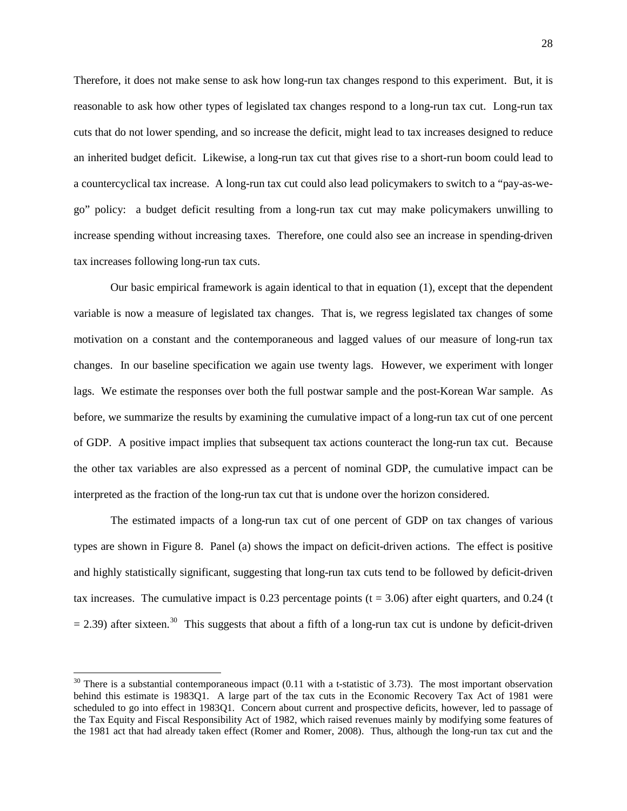Therefore, it does not make sense to ask how long-run tax changes respond to this experiment. But, it is reasonable to ask how other types of legislated tax changes respond to a long-run tax cut. Long-run tax cuts that do not lower spending, and so increase the deficit, might lead to tax increases designed to reduce an inherited budget deficit. Likewise, a long-run tax cut that gives rise to a short-run boom could lead to a countercyclical tax increase. A long-run tax cut could also lead policymakers to switch to a "pay-as-wego" policy: a budget deficit resulting from a long-run tax cut may make policymakers unwilling to increase spending without increasing taxes. Therefore, one could also see an increase in spending-driven tax increases following long-run tax cuts.

Our basic empirical framework is again identical to that in equation (1), except that the dependent variable is now a measure of legislated tax changes. That is, we regress legislated tax changes of some motivation on a constant and the contemporaneous and lagged values of our measure of long-run tax changes. In our baseline specification we again use twenty lags. However, we experiment with longer lags. We estimate the responses over both the full postwar sample and the post-Korean War sample. As before, we summarize the results by examining the cumulative impact of a long-run tax cut of one percent of GDP. A positive impact implies that subsequent tax actions counteract the long-run tax cut. Because the other tax variables are also expressed as a percent of nominal GDP, the cumulative impact can be interpreted as the fraction of the long-run tax cut that is undone over the horizon considered.

The estimated impacts of a long-run tax cut of one percent of GDP on tax changes of various types are shown in Figure 8. Panel (a) shows the impact on deficit-driven actions. The effect is positive and highly statistically significant, suggesting that long-run tax cuts tend to be followed by deficit-driven tax increases. The cumulative impact is 0.23 percentage points ( $t = 3.06$ ) after eight quarters, and 0.24 (t  $= 2.39$ ) after sixteen.<sup>[30](#page-29-0)</sup> This suggests that about a fifth of a long-run tax cut is undone by deficit-driven

<span id="page-29-0"></span> $30$  There is a substantial contemporaneous impact (0.11 with a t-statistic of 3.73). The most important observation behind this estimate is 1983Q1. A large part of the tax cuts in the Economic Recovery Tax Act of 1981 were scheduled to go into effect in 1983Q1. Concern about current and prospective deficits, however, led to passage of the Tax Equity and Fiscal Responsibility Act of 1982, which raised revenues mainly by modifying some features of the 1981 act that had already taken effect (Romer and Romer, 2008). Thus, although the long-run tax cut and the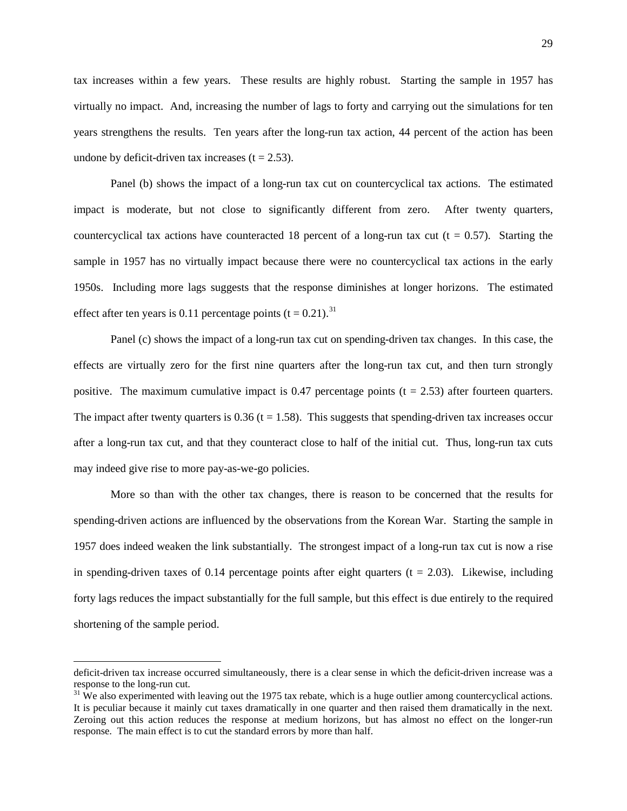tax increases within a few years. These results are highly robust. Starting the sample in 1957 has virtually no impact. And, increasing the number of lags to forty and carrying out the simulations for ten years strengthens the results. Ten years after the long-run tax action, 44 percent of the action has been undone by deficit-driven tax increases  $(t = 2.53)$ .

Panel (b) shows the impact of a long-run tax cut on countercyclical tax actions. The estimated impact is moderate, but not close to significantly different from zero. After twenty quarters, countercyclical tax actions have counteracted 18 percent of a long-run tax cut ( $t = 0.57$ ). Starting the sample in 1957 has no virtually impact because there were no countercyclical tax actions in the early 1950s. Including more lags suggests that the response diminishes at longer horizons. The estimated effect after ten years is 0.11 percentage points  $(t = 0.21)$ .<sup>[31](#page-30-0)</sup>

Panel (c) shows the impact of a long-run tax cut on spending-driven tax changes. In this case, the effects are virtually zero for the first nine quarters after the long-run tax cut, and then turn strongly positive. The maximum cumulative impact is  $0.47$  percentage points ( $t = 2.53$ ) after fourteen quarters. The impact after twenty quarters is  $0.36$  (t = 1.58). This suggests that spending-driven tax increases occur after a long-run tax cut, and that they counteract close to half of the initial cut. Thus, long-run tax cuts may indeed give rise to more pay-as-we-go policies.

More so than with the other tax changes, there is reason to be concerned that the results for spending-driven actions are influenced by the observations from the Korean War. Starting the sample in 1957 does indeed weaken the link substantially. The strongest impact of a long-run tax cut is now a rise in spending-driven taxes of 0.14 percentage points after eight quarters ( $t = 2.03$ ). Likewise, including forty lags reduces the impact substantially for the full sample, but this effect is due entirely to the required shortening of the sample period.

 $\overline{a}$ 

deficit-driven tax increase occurred simultaneously, there is a clear sense in which the deficit-driven increase was a response to the long-run cut.<br><sup>31</sup> We also experimented with leaving out the 1975 tax rebate, which is a huge outlier among countercyclical actions.

<span id="page-30-0"></span>It is peculiar because it mainly cut taxes dramatically in one quarter and then raised them dramatically in the next. Zeroing out this action reduces the response at medium horizons, but has almost no effect on the longer-run response. The main effect is to cut the standard errors by more than half.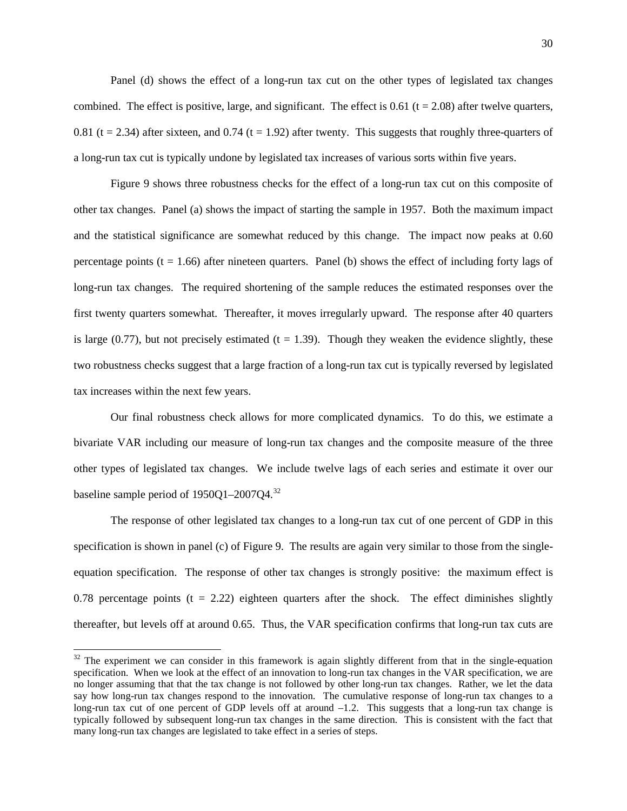Panel (d) shows the effect of a long-run tax cut on the other types of legislated tax changes combined. The effect is positive, large, and significant. The effect is 0.61 ( $t = 2.08$ ) after twelve quarters, 0.81 (t = 2.34) after sixteen, and 0.74 (t = 1.92) after twenty. This suggests that roughly three-quarters of a long-run tax cut is typically undone by legislated tax increases of various sorts within five years.

Figure 9 shows three robustness checks for the effect of a long-run tax cut on this composite of other tax changes. Panel (a) shows the impact of starting the sample in 1957. Both the maximum impact and the statistical significance are somewhat reduced by this change. The impact now peaks at 0.60 percentage points ( $t = 1.66$ ) after nineteen quarters. Panel (b) shows the effect of including forty lags of long-run tax changes. The required shortening of the sample reduces the estimated responses over the first twenty quarters somewhat. Thereafter, it moves irregularly upward. The response after 40 quarters is large (0.77), but not precisely estimated ( $t = 1.39$ ). Though they weaken the evidence slightly, these two robustness checks suggest that a large fraction of a long-run tax cut is typically reversed by legislated tax increases within the next few years.

Our final robustness check allows for more complicated dynamics. To do this, we estimate a bivariate VAR including our measure of long-run tax changes and the composite measure of the three other types of legislated tax changes. We include twelve lags of each series and estimate it over our baseline sample period of 1950Q1-2007Q4.<sup>[32](#page-31-0)</sup>

The response of other legislated tax changes to a long-run tax cut of one percent of GDP in this specification is shown in panel (c) of Figure 9. The results are again very similar to those from the singleequation specification. The response of other tax changes is strongly positive: the maximum effect is 0.78 percentage points ( $t = 2.22$ ) eighteen quarters after the shock. The effect diminishes slightly thereafter, but levels off at around 0.65. Thus, the VAR specification confirms that long-run tax cuts are

<span id="page-31-0"></span><sup>&</sup>lt;sup>32</sup> The experiment we can consider in this framework is again slightly different from that in the single-equation specification. When we look at the effect of an innovation to long-run tax changes in the VAR specification, we are no longer assuming that that the tax change is not followed by other long-run tax changes. Rather, we let the data say how long-run tax changes respond to the innovation. The cumulative response of long-run tax changes to a long-run tax cut of one percent of GDP levels off at around –1.2. This suggests that a long-run tax change is typically followed by subsequent long-run tax changes in the same direction. This is consistent with the fact that many long-run tax changes are legislated to take effect in a series of steps.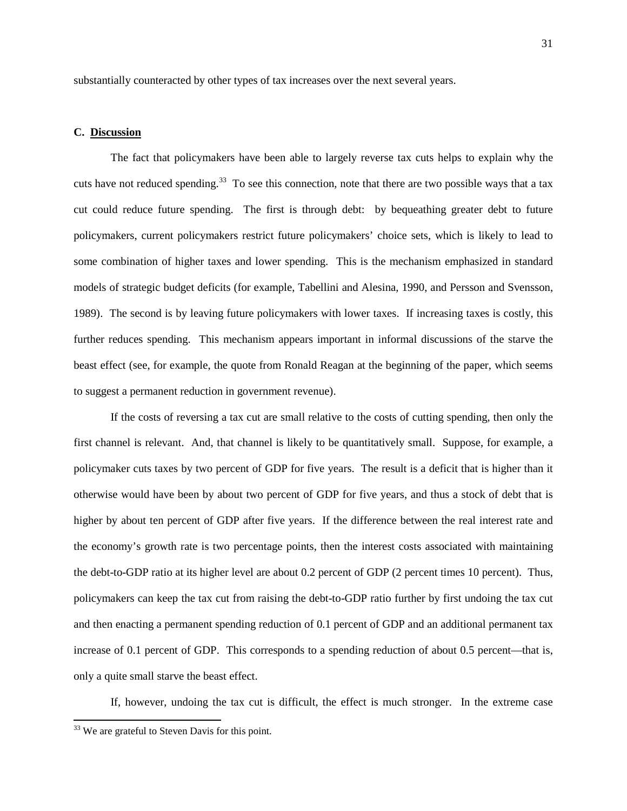substantially counteracted by other types of tax increases over the next several years.

## **C. Discussion**

The fact that policymakers have been able to largely reverse tax cuts helps to explain why the cuts have not reduced spending.<sup>[33](#page-32-0)</sup> To see this connection, note that there are two possible ways that a tax cut could reduce future spending. The first is through debt: by bequeathing greater debt to future policymakers, current policymakers restrict future policymakers' choice sets, which is likely to lead to some combination of higher taxes and lower spending. This is the mechanism emphasized in standard models of strategic budget deficits (for example, Tabellini and Alesina, 1990, and Persson and Svensson, 1989). The second is by leaving future policymakers with lower taxes. If increasing taxes is costly, this further reduces spending. This mechanism appears important in informal discussions of the starve the beast effect (see, for example, the quote from Ronald Reagan at the beginning of the paper, which seems to suggest a permanent reduction in government revenue).

If the costs of reversing a tax cut are small relative to the costs of cutting spending, then only the first channel is relevant. And, that channel is likely to be quantitatively small. Suppose, for example, a policymaker cuts taxes by two percent of GDP for five years. The result is a deficit that is higher than it otherwise would have been by about two percent of GDP for five years, and thus a stock of debt that is higher by about ten percent of GDP after five years. If the difference between the real interest rate and the economy's growth rate is two percentage points, then the interest costs associated with maintaining the debt-to-GDP ratio at its higher level are about 0.2 percent of GDP (2 percent times 10 percent). Thus, policymakers can keep the tax cut from raising the debt-to-GDP ratio further by first undoing the tax cut and then enacting a permanent spending reduction of 0.1 percent of GDP and an additional permanent tax increase of 0.1 percent of GDP. This corresponds to a spending reduction of about 0.5 percent—that is, only a quite small starve the beast effect.

If, however, undoing the tax cut is difficult, the effect is much stronger. In the extreme case

<span id="page-32-0"></span> $33$  We are grateful to Steven Davis for this point.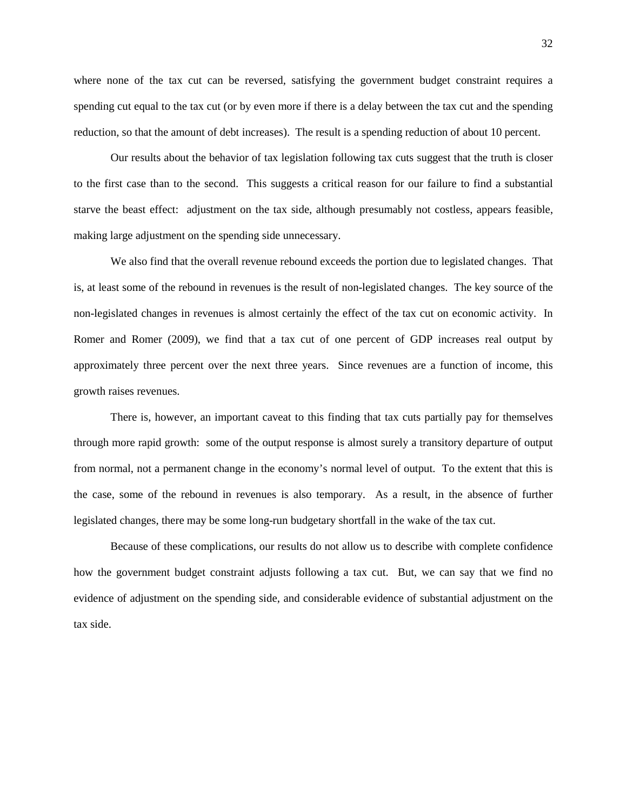where none of the tax cut can be reversed, satisfying the government budget constraint requires a spending cut equal to the tax cut (or by even more if there is a delay between the tax cut and the spending reduction, so that the amount of debt increases). The result is a spending reduction of about 10 percent.

Our results about the behavior of tax legislation following tax cuts suggest that the truth is closer to the first case than to the second. This suggests a critical reason for our failure to find a substantial starve the beast effect: adjustment on the tax side, although presumably not costless, appears feasible, making large adjustment on the spending side unnecessary.

We also find that the overall revenue rebound exceeds the portion due to legislated changes. That is, at least some of the rebound in revenues is the result of non-legislated changes. The key source of the non-legislated changes in revenues is almost certainly the effect of the tax cut on economic activity. In Romer and Romer (2009), we find that a tax cut of one percent of GDP increases real output by approximately three percent over the next three years. Since revenues are a function of income, this growth raises revenues.

There is, however, an important caveat to this finding that tax cuts partially pay for themselves through more rapid growth: some of the output response is almost surely a transitory departure of output from normal, not a permanent change in the economy's normal level of output. To the extent that this is the case, some of the rebound in revenues is also temporary. As a result, in the absence of further legislated changes, there may be some long-run budgetary shortfall in the wake of the tax cut.

Because of these complications, our results do not allow us to describe with complete confidence how the government budget constraint adjusts following a tax cut. But, we can say that we find no evidence of adjustment on the spending side, and considerable evidence of substantial adjustment on the tax side.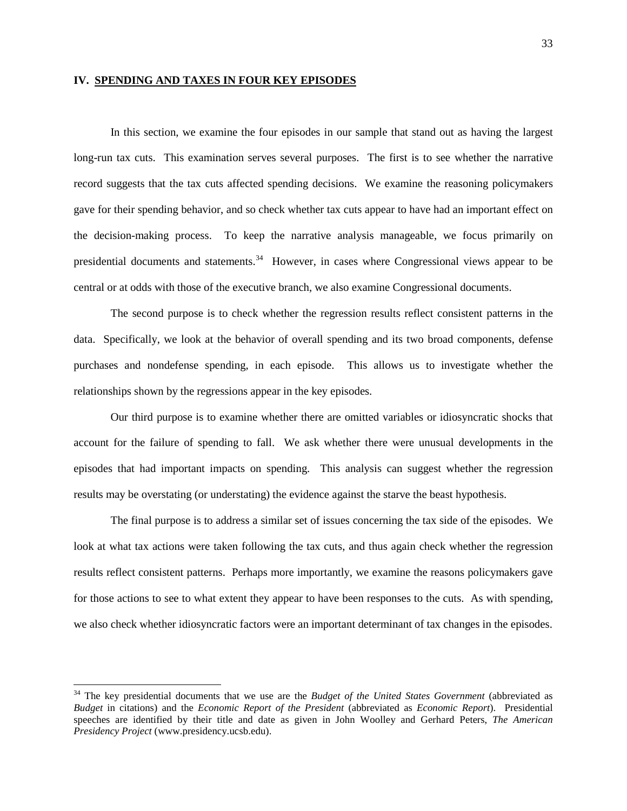#### **IV. SPENDING AND TAXES IN FOUR KEY EPISODES**

In this section, we examine the four episodes in our sample that stand out as having the largest long-run tax cuts. This examination serves several purposes. The first is to see whether the narrative record suggests that the tax cuts affected spending decisions. We examine the reasoning policymakers gave for their spending behavior, and so check whether tax cuts appear to have had an important effect on the decision-making process. To keep the narrative analysis manageable, we focus primarily on presidential documents and statements.<sup>[34](#page-34-0)</sup> However, in cases where Congressional views appear to be central or at odds with those of the executive branch, we also examine Congressional documents.

The second purpose is to check whether the regression results reflect consistent patterns in the data. Specifically, we look at the behavior of overall spending and its two broad components, defense purchases and nondefense spending, in each episode. This allows us to investigate whether the relationships shown by the regressions appear in the key episodes.

Our third purpose is to examine whether there are omitted variables or idiosyncratic shocks that account for the failure of spending to fall. We ask whether there were unusual developments in the episodes that had important impacts on spending. This analysis can suggest whether the regression results may be overstating (or understating) the evidence against the starve the beast hypothesis.

The final purpose is to address a similar set of issues concerning the tax side of the episodes. We look at what tax actions were taken following the tax cuts, and thus again check whether the regression results reflect consistent patterns. Perhaps more importantly, we examine the reasons policymakers gave for those actions to see to what extent they appear to have been responses to the cuts. As with spending, we also check whether idiosyncratic factors were an important determinant of tax changes in the episodes.

<span id="page-34-0"></span> <sup>34</sup> The key presidential documents that we use are the *Budget of the United States Government* (abbreviated as *Budget* in citations) and the *Economic Report of the President* (abbreviated as *Economic Report*). Presidential speeches are identified by their title and date as given in John Woolley and Gerhard Peters, *The American Presidency Project* (www.presidency.ucsb.edu).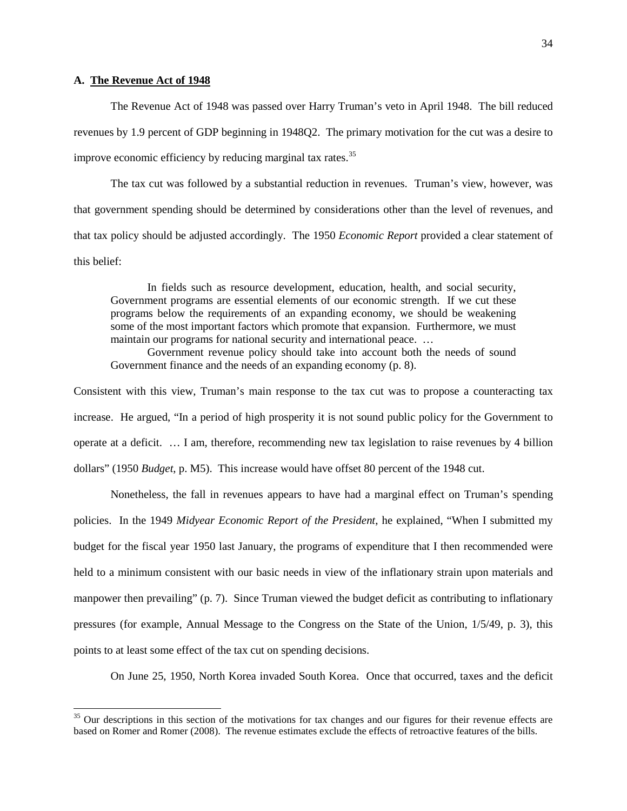## **A. The Revenue Act of 1948**

The Revenue Act of 1948 was passed over Harry Truman's veto in April 1948. The bill reduced revenues by 1.9 percent of GDP beginning in 1948Q2. The primary motivation for the cut was a desire to improve economic efficiency by reducing marginal tax rates. $35$ 

The tax cut was followed by a substantial reduction in revenues. Truman's view, however, was that government spending should be determined by considerations other than the level of revenues, and that tax policy should be adjusted accordingly. The 1950 *Economic Report* provided a clear statement of this belief:

In fields such as resource development, education, health, and social security, Government programs are essential elements of our economic strength. If we cut these programs below the requirements of an expanding economy, we should be weakening some of the most important factors which promote that expansion. Furthermore, we must maintain our programs for national security and international peace. …

Government revenue policy should take into account both the needs of sound Government finance and the needs of an expanding economy (p. 8).

Consistent with this view, Truman's main response to the tax cut was to propose a counteracting tax increase. He argued, "In a period of high prosperity it is not sound public policy for the Government to operate at a deficit. … I am, therefore, recommending new tax legislation to raise revenues by 4 billion dollars" (1950 *Budget*, p. M5). This increase would have offset 80 percent of the 1948 cut.

Nonetheless, the fall in revenues appears to have had a marginal effect on Truman's spending policies. In the 1949 *Midyear Economic Report of the President*, he explained, "When I submitted my budget for the fiscal year 1950 last January, the programs of expenditure that I then recommended were held to a minimum consistent with our basic needs in view of the inflationary strain upon materials and manpower then prevailing" (p. 7). Since Truman viewed the budget deficit as contributing to inflationary pressures (for example, Annual Message to the Congress on the State of the Union, 1/5/49, p. 3), this points to at least some effect of the tax cut on spending decisions.

On June 25, 1950, North Korea invaded South Korea. Once that occurred, taxes and the deficit

<span id="page-35-0"></span> $35$  Our descriptions in this section of the motivations for tax changes and our figures for their revenue effects are based on Romer and Romer (2008). The revenue estimates exclude the effects of retroactive features of the bills.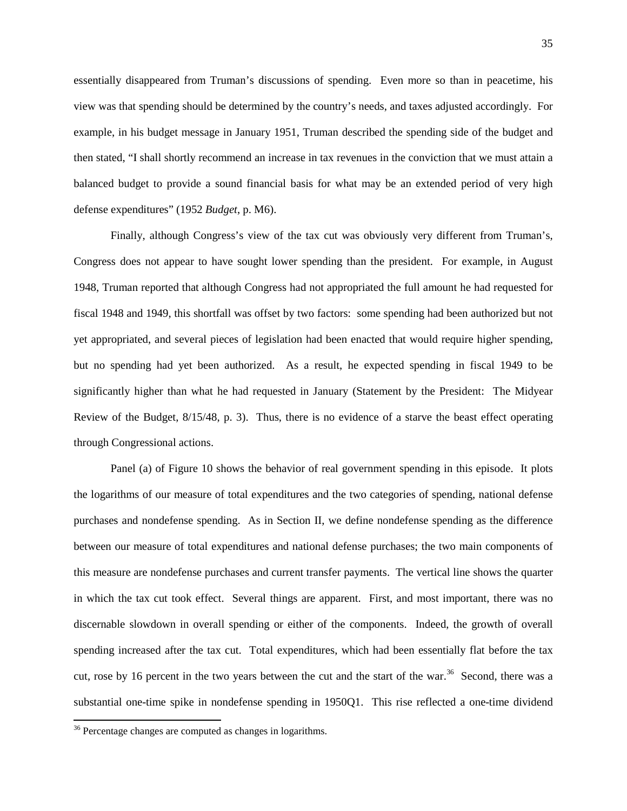essentially disappeared from Truman's discussions of spending. Even more so than in peacetime, his view was that spending should be determined by the country's needs, and taxes adjusted accordingly. For example, in his budget message in January 1951, Truman described the spending side of the budget and then stated, "I shall shortly recommend an increase in tax revenues in the conviction that we must attain a balanced budget to provide a sound financial basis for what may be an extended period of very high defense expenditures" (1952 *Budget*, p. M6).

Finally, although Congress's view of the tax cut was obviously very different from Truman's, Congress does not appear to have sought lower spending than the president. For example, in August 1948, Truman reported that although Congress had not appropriated the full amount he had requested for fiscal 1948 and 1949, this shortfall was offset by two factors: some spending had been authorized but not yet appropriated, and several pieces of legislation had been enacted that would require higher spending, but no spending had yet been authorized. As a result, he expected spending in fiscal 1949 to be significantly higher than what he had requested in January (Statement by the President: The Midyear Review of the Budget, 8/15/48, p. 3). Thus, there is no evidence of a starve the beast effect operating through Congressional actions.

Panel (a) of Figure 10 shows the behavior of real government spending in this episode. It plots the logarithms of our measure of total expenditures and the two categories of spending, national defense purchases and nondefense spending. As in Section II, we define nondefense spending as the difference between our measure of total expenditures and national defense purchases; the two main components of this measure are nondefense purchases and current transfer payments. The vertical line shows the quarter in which the tax cut took effect. Several things are apparent. First, and most important, there was no discernable slowdown in overall spending or either of the components. Indeed, the growth of overall spending increased after the tax cut. Total expenditures, which had been essentially flat before the tax cut, rose by 16 percent in the two years between the cut and the start of the war.<sup>[36](#page-36-0)</sup> Second, there was a substantial one-time spike in nondefense spending in 1950Q1. This rise reflected a one-time dividend

<span id="page-36-0"></span><sup>&</sup>lt;sup>36</sup> Percentage changes are computed as changes in logarithms.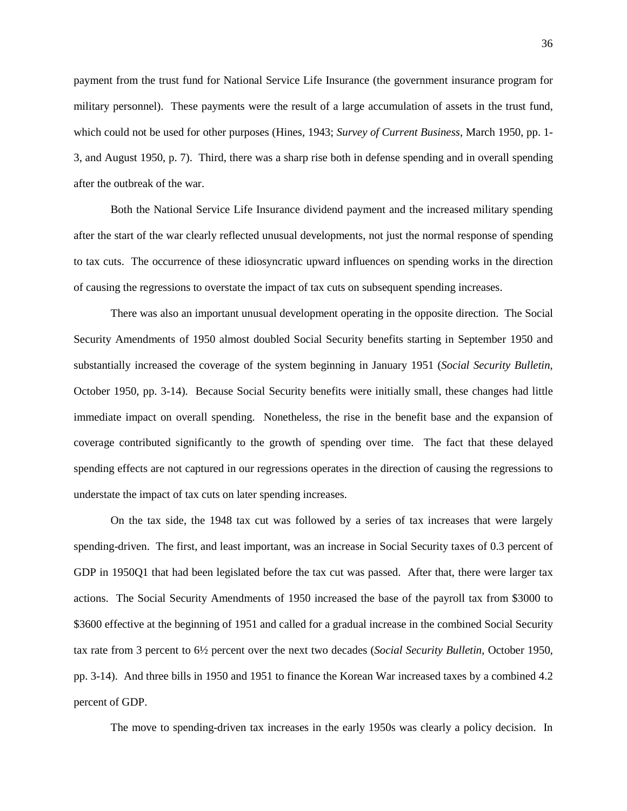payment from the trust fund for National Service Life Insurance (the government insurance program for military personnel). These payments were the result of a large accumulation of assets in the trust fund, which could not be used for other purposes (Hines, 1943; *Survey of Current Business*, March 1950, pp. 1- 3, and August 1950, p. 7). Third, there was a sharp rise both in defense spending and in overall spending after the outbreak of the war.

Both the National Service Life Insurance dividend payment and the increased military spending after the start of the war clearly reflected unusual developments, not just the normal response of spending to tax cuts. The occurrence of these idiosyncratic upward influences on spending works in the direction of causing the regressions to overstate the impact of tax cuts on subsequent spending increases.

There was also an important unusual development operating in the opposite direction. The Social Security Amendments of 1950 almost doubled Social Security benefits starting in September 1950 and substantially increased the coverage of the system beginning in January 1951 (*Social Security Bulletin*, October 1950, pp. 3-14). Because Social Security benefits were initially small, these changes had little immediate impact on overall spending. Nonetheless, the rise in the benefit base and the expansion of coverage contributed significantly to the growth of spending over time. The fact that these delayed spending effects are not captured in our regressions operates in the direction of causing the regressions to understate the impact of tax cuts on later spending increases.

On the tax side, the 1948 tax cut was followed by a series of tax increases that were largely spending-driven. The first, and least important, was an increase in Social Security taxes of 0.3 percent of GDP in 1950Q1 that had been legislated before the tax cut was passed. After that, there were larger tax actions. The Social Security Amendments of 1950 increased the base of the payroll tax from \$3000 to \$3600 effective at the beginning of 1951 and called for a gradual increase in the combined Social Security tax rate from 3 percent to 6½ percent over the next two decades (*Social Security Bulletin*, October 1950, pp. 3-14). And three bills in 1950 and 1951 to finance the Korean War increased taxes by a combined 4.2 percent of GDP.

The move to spending-driven tax increases in the early 1950s was clearly a policy decision. In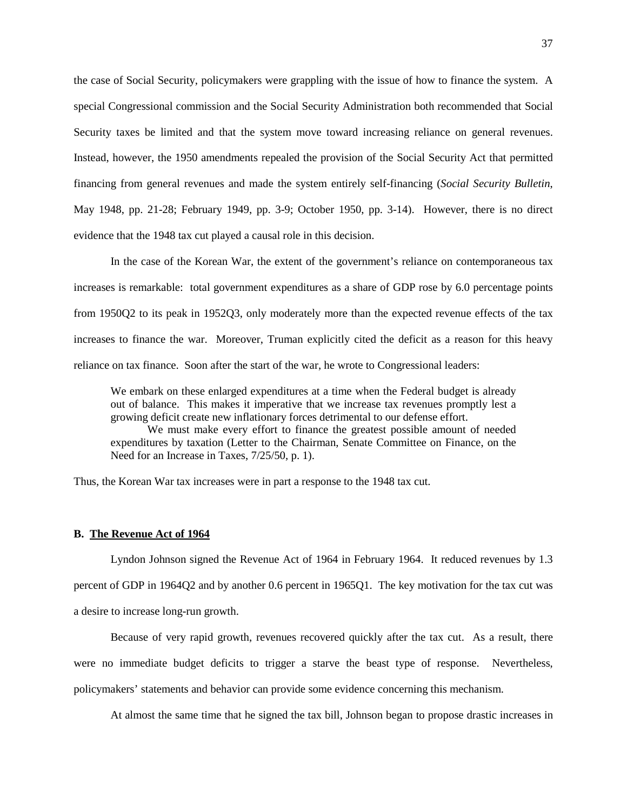the case of Social Security, policymakers were grappling with the issue of how to finance the system. A special Congressional commission and the Social Security Administration both recommended that Social Security taxes be limited and that the system move toward increasing reliance on general revenues. Instead, however, the 1950 amendments repealed the provision of the Social Security Act that permitted financing from general revenues and made the system entirely self-financing (*Social Security Bulletin*, May 1948, pp. 21-28; February 1949, pp. 3-9; October 1950, pp. 3-14). However, there is no direct evidence that the 1948 tax cut played a causal role in this decision.

In the case of the Korean War, the extent of the government's reliance on contemporaneous tax increases is remarkable: total government expenditures as a share of GDP rose by 6.0 percentage points from 1950Q2 to its peak in 1952Q3, only moderately more than the expected revenue effects of the tax increases to finance the war. Moreover, Truman explicitly cited the deficit as a reason for this heavy reliance on tax finance. Soon after the start of the war, he wrote to Congressional leaders:

We embark on these enlarged expenditures at a time when the Federal budget is already out of balance. This makes it imperative that we increase tax revenues promptly lest a growing deficit create new inflationary forces detrimental to our defense effort.

We must make every effort to finance the greatest possible amount of needed expenditures by taxation (Letter to the Chairman, Senate Committee on Finance, on the Need for an Increase in Taxes, 7/25/50, p. 1).

Thus, the Korean War tax increases were in part a response to the 1948 tax cut.

#### **B. The Revenue Act of 1964**

Lyndon Johnson signed the Revenue Act of 1964 in February 1964. It reduced revenues by 1.3 percent of GDP in 1964Q2 and by another 0.6 percent in 1965Q1. The key motivation for the tax cut was a desire to increase long-run growth.

Because of very rapid growth, revenues recovered quickly after the tax cut. As a result, there were no immediate budget deficits to trigger a starve the beast type of response. Nevertheless, policymakers' statements and behavior can provide some evidence concerning this mechanism.

At almost the same time that he signed the tax bill, Johnson began to propose drastic increases in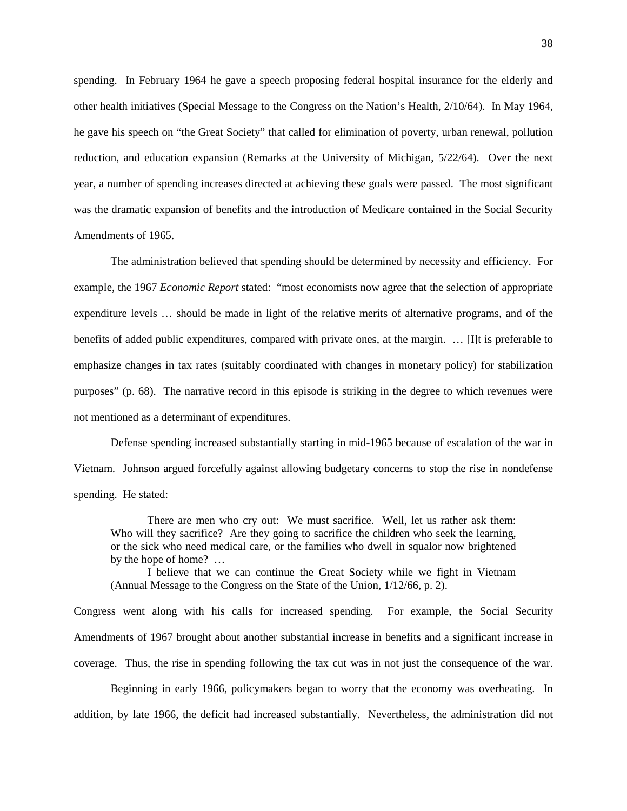spending. In February 1964 he gave a speech proposing federal hospital insurance for the elderly and other health initiatives (Special Message to the Congress on the Nation's Health, 2/10/64). In May 1964, he gave his speech on "the Great Society" that called for elimination of poverty, urban renewal, pollution reduction, and education expansion (Remarks at the University of Michigan, 5/22/64). Over the next year, a number of spending increases directed at achieving these goals were passed. The most significant was the dramatic expansion of benefits and the introduction of Medicare contained in the Social Security Amendments of 1965.

The administration believed that spending should be determined by necessity and efficiency. For example, the 1967 *Economic Report* stated: "most economists now agree that the selection of appropriate expenditure levels … should be made in light of the relative merits of alternative programs, and of the benefits of added public expenditures, compared with private ones, at the margin. … [I]t is preferable to emphasize changes in tax rates (suitably coordinated with changes in monetary policy) for stabilization purposes" (p. 68). The narrative record in this episode is striking in the degree to which revenues were not mentioned as a determinant of expenditures.

Defense spending increased substantially starting in mid-1965 because of escalation of the war in Vietnam. Johnson argued forcefully against allowing budgetary concerns to stop the rise in nondefense spending. He stated:

There are men who cry out: We must sacrifice. Well, let us rather ask them: Who will they sacrifice? Are they going to sacrifice the children who seek the learning, or the sick who need medical care, or the families who dwell in squalor now brightened by the hope of home? …

I believe that we can continue the Great Society while we fight in Vietnam (Annual Message to the Congress on the State of the Union, 1/12/66, p. 2).

Congress went along with his calls for increased spending. For example, the Social Security Amendments of 1967 brought about another substantial increase in benefits and a significant increase in coverage. Thus, the rise in spending following the tax cut was in not just the consequence of the war.

Beginning in early 1966, policymakers began to worry that the economy was overheating. In addition, by late 1966, the deficit had increased substantially. Nevertheless, the administration did not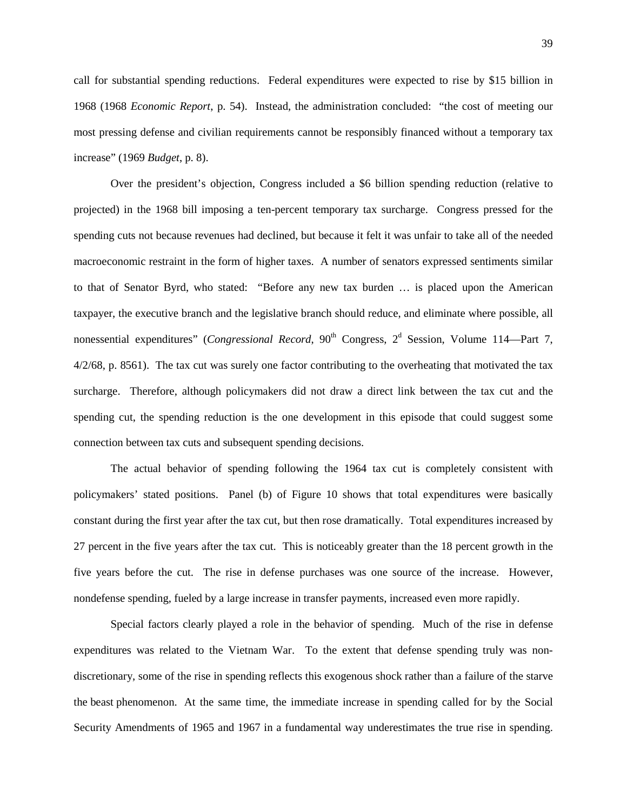call for substantial spending reductions. Federal expenditures were expected to rise by \$15 billion in 1968 (1968 *Economic Report*, p. 54). Instead, the administration concluded: "the cost of meeting our most pressing defense and civilian requirements cannot be responsibly financed without a temporary tax increase" (1969 *Budget*, p. 8).

Over the president's objection, Congress included a \$6 billion spending reduction (relative to projected) in the 1968 bill imposing a ten-percent temporary tax surcharge. Congress pressed for the spending cuts not because revenues had declined, but because it felt it was unfair to take all of the needed macroeconomic restraint in the form of higher taxes. A number of senators expressed sentiments similar to that of Senator Byrd, who stated: "Before any new tax burden … is placed upon the American taxpayer, the executive branch and the legislative branch should reduce, and eliminate where possible, all nonessential expenditures" (*Congressional Record*, 90<sup>th</sup> Congress, 2<sup>d</sup> Session, Volume 114—Part 7, 4/2/68, p. 8561). The tax cut was surely one factor contributing to the overheating that motivated the tax surcharge. Therefore, although policymakers did not draw a direct link between the tax cut and the spending cut, the spending reduction is the one development in this episode that could suggest some connection between tax cuts and subsequent spending decisions.

The actual behavior of spending following the 1964 tax cut is completely consistent with policymakers' stated positions. Panel (b) of Figure 10 shows that total expenditures were basically constant during the first year after the tax cut, but then rose dramatically. Total expenditures increased by 27 percent in the five years after the tax cut. This is noticeably greater than the 18 percent growth in the five years before the cut. The rise in defense purchases was one source of the increase. However, nondefense spending, fueled by a large increase in transfer payments, increased even more rapidly.

Special factors clearly played a role in the behavior of spending. Much of the rise in defense expenditures was related to the Vietnam War. To the extent that defense spending truly was nondiscretionary, some of the rise in spending reflects this exogenous shock rather than a failure of the starve the beast phenomenon. At the same time, the immediate increase in spending called for by the Social Security Amendments of 1965 and 1967 in a fundamental way underestimates the true rise in spending.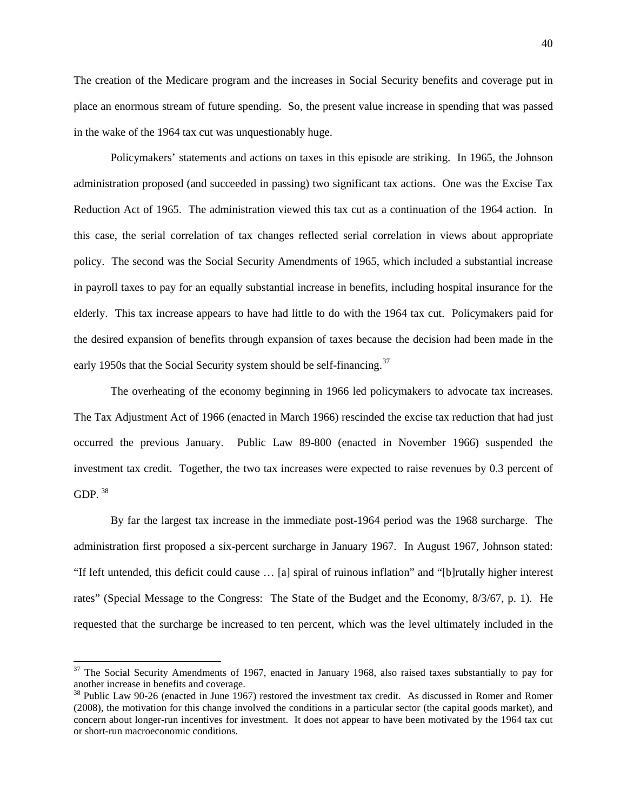The creation of the Medicare program and the increases in Social Security benefits and coverage put in place an enormous stream of future spending. So, the present value increase in spending that was passed in the wake of the 1964 tax cut was unquestionably huge.

Policymakers' statements and actions on taxes in this episode are striking. In 1965, the Johnson administration proposed (and succeeded in passing) two significant tax actions. One was the Excise Tax Reduction Act of 1965. The administration viewed this tax cut as a continuation of the 1964 action. In this case, the serial correlation of tax changes reflected serial correlation in views about appropriate policy. The second was the Social Security Amendments of 1965, which included a substantial increase in payroll taxes to pay for an equally substantial increase in benefits, including hospital insurance for the elderly. This tax increase appears to have had little to do with the 1964 tax cut. Policymakers paid for the desired expansion of benefits through expansion of taxes because the decision had been made in the early 1950s that the Social Security system should be self-financing.<sup>[37](#page-41-0)</sup>

The overheating of the economy beginning in 1966 led policymakers to advocate tax increases. The Tax Adjustment Act of 1966 (enacted in March 1966) rescinded the excise tax reduction that had just occurred the previous January. Public Law 89-800 (enacted in November 1966) suspended the investment tax credit. Together, the two tax increases were expected to raise revenues by 0.3 percent of GDP.  $38$ 

By far the largest tax increase in the immediate post-1964 period was the 1968 surcharge. The administration first proposed a six-percent surcharge in January 1967. In August 1967, Johnson stated: "If left untended, this deficit could cause … [a] spiral of ruinous inflation" and "[b]rutally higher interest rates" (Special Message to the Congress: The State of the Budget and the Economy, 8/3/67, p. 1). He requested that the surcharge be increased to ten percent, which was the level ultimately included in the

<span id="page-41-0"></span><sup>&</sup>lt;sup>37</sup> The Social Security Amendments of 1967, enacted in January 1968, also raised taxes substantially to pay for another increase in benefits and coverage.

<span id="page-41-1"></span> $38$  Public Law 90-26 (enacted in June 1967) restored the investment tax credit. As discussed in Romer and Romer (2008), the motivation for this change involved the conditions in a particular sector (the capital goods market), and concern about longer-run incentives for investment. It does not appear to have been motivated by the 1964 tax cut or short-run macroeconomic conditions.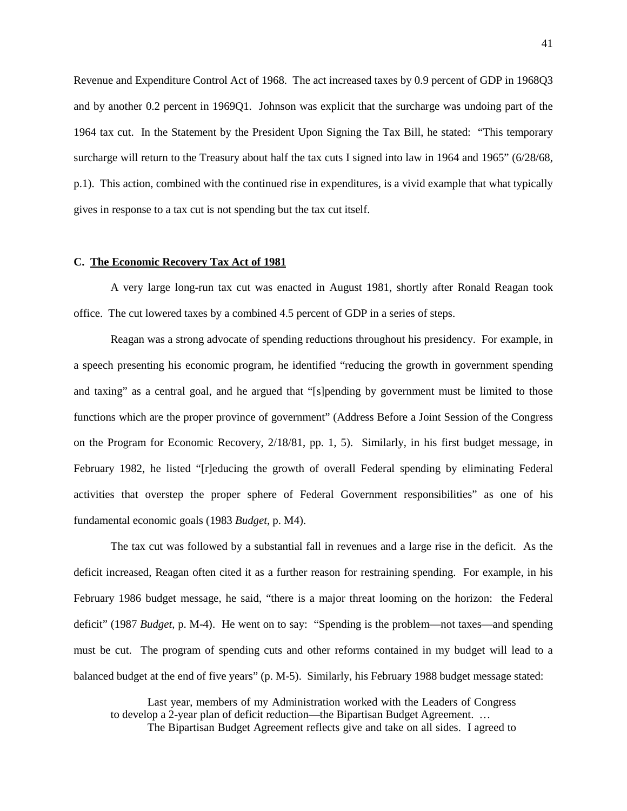Revenue and Expenditure Control Act of 1968. The act increased taxes by 0.9 percent of GDP in 1968Q3 and by another 0.2 percent in 1969Q1. Johnson was explicit that the surcharge was undoing part of the 1964 tax cut. In the Statement by the President Upon Signing the Tax Bill, he stated: "This temporary surcharge will return to the Treasury about half the tax cuts I signed into law in 1964 and 1965" (6/28/68, p.1). This action, combined with the continued rise in expenditures, is a vivid example that what typically gives in response to a tax cut is not spending but the tax cut itself.

#### **C. The Economic Recovery Tax Act of 1981**

A very large long-run tax cut was enacted in August 1981, shortly after Ronald Reagan took office. The cut lowered taxes by a combined 4.5 percent of GDP in a series of steps.

Reagan was a strong advocate of spending reductions throughout his presidency. For example, in a speech presenting his economic program, he identified "reducing the growth in government spending and taxing" as a central goal, and he argued that "[s]pending by government must be limited to those functions which are the proper province of government" (Address Before a Joint Session of the Congress on the Program for Economic Recovery, 2/18/81, pp. 1, 5). Similarly, in his first budget message, in February 1982, he listed "[r]educing the growth of overall Federal spending by eliminating Federal activities that overstep the proper sphere of Federal Government responsibilities" as one of his fundamental economic goals (1983 *Budget*, p. M4).

The tax cut was followed by a substantial fall in revenues and a large rise in the deficit. As the deficit increased, Reagan often cited it as a further reason for restraining spending. For example, in his February 1986 budget message, he said, "there is a major threat looming on the horizon: the Federal deficit" (1987 *Budget*, p. M-4). He went on to say: "Spending is the problem—not taxes—and spending must be cut. The program of spending cuts and other reforms contained in my budget will lead to a balanced budget at the end of five years" (p. M-5). Similarly, his February 1988 budget message stated:

Last year, members of my Administration worked with the Leaders of Congress to develop a 2-year plan of deficit reduction—the Bipartisan Budget Agreement. … The Bipartisan Budget Agreement reflects give and take on all sides. I agreed to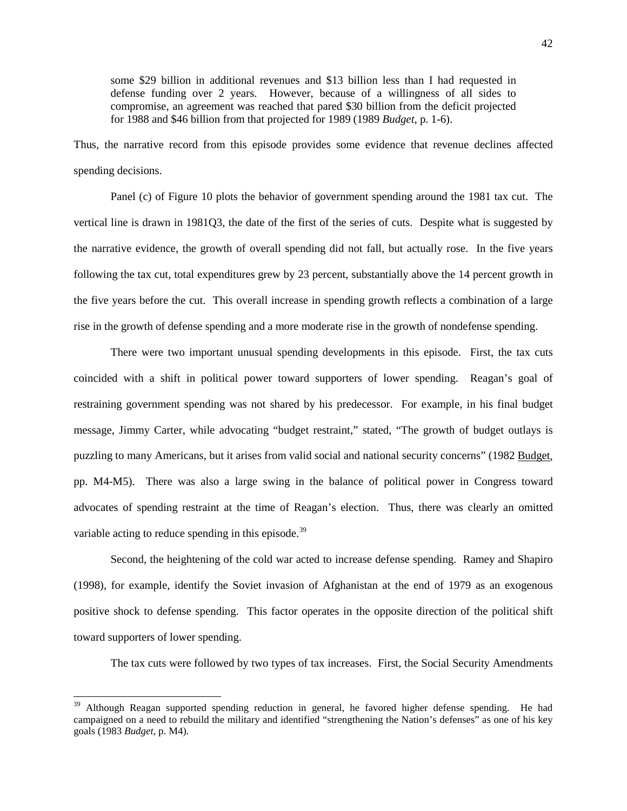some \$29 billion in additional revenues and \$13 billion less than I had requested in defense funding over 2 years. However, because of a willingness of all sides to compromise, an agreement was reached that pared \$30 billion from the deficit projected for 1988 and \$46 billion from that projected for 1989 (1989 *Budget*, p. 1-6).

Thus, the narrative record from this episode provides some evidence that revenue declines affected spending decisions.

Panel (c) of Figure 10 plots the behavior of government spending around the 1981 tax cut. The vertical line is drawn in 1981Q3, the date of the first of the series of cuts. Despite what is suggested by the narrative evidence, the growth of overall spending did not fall, but actually rose. In the five years following the tax cut, total expenditures grew by 23 percent, substantially above the 14 percent growth in the five years before the cut. This overall increase in spending growth reflects a combination of a large rise in the growth of defense spending and a more moderate rise in the growth of nondefense spending.

There were two important unusual spending developments in this episode. First, the tax cuts coincided with a shift in political power toward supporters of lower spending. Reagan's goal of restraining government spending was not shared by his predecessor. For example, in his final budget message, Jimmy Carter, while advocating "budget restraint," stated, "The growth of budget outlays is puzzling to many Americans, but it arises from valid social and national security concerns" (1982 Budget, pp. M4-M5). There was also a large swing in the balance of political power in Congress toward advocates of spending restraint at the time of Reagan's election. Thus, there was clearly an omitted variable acting to reduce spending in this episode.<sup>[39](#page-43-0)</sup>

Second, the heightening of the cold war acted to increase defense spending. Ramey and Shapiro (1998), for example, identify the Soviet invasion of Afghanistan at the end of 1979 as an exogenous positive shock to defense spending. This factor operates in the opposite direction of the political shift toward supporters of lower spending.

The tax cuts were followed by two types of tax increases. First, the Social Security Amendments

<span id="page-43-0"></span><sup>&</sup>lt;sup>39</sup> Although Reagan supported spending reduction in general, he favored higher defense spending. He had campaigned on a need to rebuild the military and identified "strengthening the Nation's defenses" as one of his key goals (1983 *Budget*, p. M4).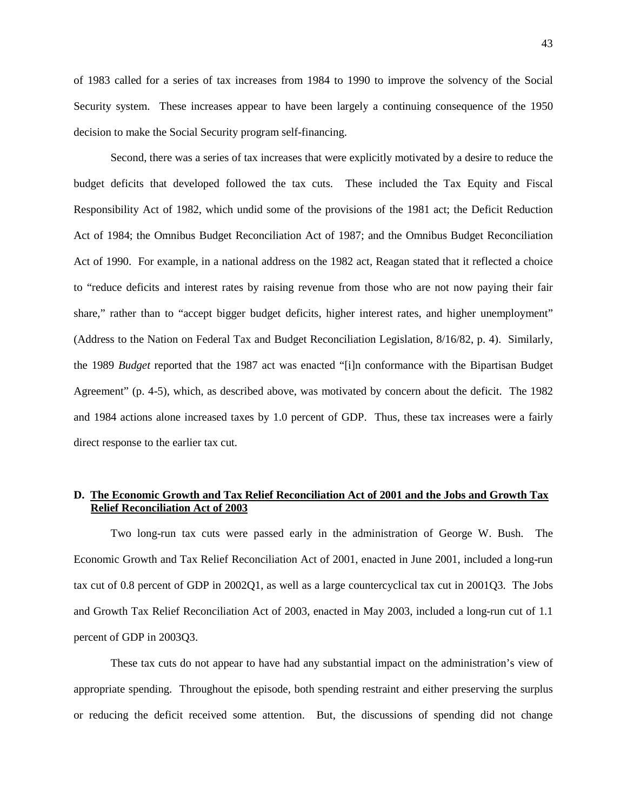of 1983 called for a series of tax increases from 1984 to 1990 to improve the solvency of the Social Security system. These increases appear to have been largely a continuing consequence of the 1950 decision to make the Social Security program self-financing.

Second, there was a series of tax increases that were explicitly motivated by a desire to reduce the budget deficits that developed followed the tax cuts. These included the Tax Equity and Fiscal Responsibility Act of 1982, which undid some of the provisions of the 1981 act; the Deficit Reduction Act of 1984; the Omnibus Budget Reconciliation Act of 1987; and the Omnibus Budget Reconciliation Act of 1990. For example, in a national address on the 1982 act, Reagan stated that it reflected a choice to "reduce deficits and interest rates by raising revenue from those who are not now paying their fair share," rather than to "accept bigger budget deficits, higher interest rates, and higher unemployment" (Address to the Nation on Federal Tax and Budget Reconciliation Legislation, 8/16/82, p. 4). Similarly, the 1989 *Budget* reported that the 1987 act was enacted "[i]n conformance with the Bipartisan Budget Agreement" (p. 4-5), which, as described above, was motivated by concern about the deficit. The 1982 and 1984 actions alone increased taxes by 1.0 percent of GDP. Thus, these tax increases were a fairly direct response to the earlier tax cut.

# **D. The Economic Growth and Tax Relief Reconciliation Act of 2001 and the Jobs and Growth Tax Relief Reconciliation Act of 2003**

Two long-run tax cuts were passed early in the administration of George W. Bush. The Economic Growth and Tax Relief Reconciliation Act of 2001, enacted in June 2001, included a long-run tax cut of 0.8 percent of GDP in 2002Q1, as well as a large countercyclical tax cut in 2001Q3. The Jobs and Growth Tax Relief Reconciliation Act of 2003, enacted in May 2003, included a long-run cut of 1.1 percent of GDP in 2003Q3.

These tax cuts do not appear to have had any substantial impact on the administration's view of appropriate spending. Throughout the episode, both spending restraint and either preserving the surplus or reducing the deficit received some attention. But, the discussions of spending did not change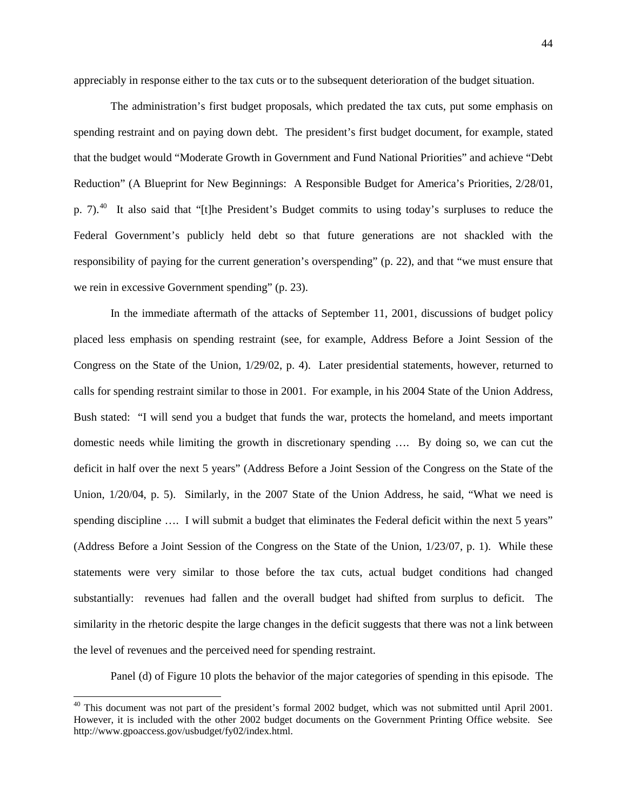appreciably in response either to the tax cuts or to the subsequent deterioration of the budget situation.

The administration's first budget proposals, which predated the tax cuts, put some emphasis on spending restraint and on paying down debt. The president's first budget document, for example, stated that the budget would "Moderate Growth in Government and Fund National Priorities" and achieve "Debt Reduction" (A Blueprint for New Beginnings: A Responsible Budget for America's Priorities, 2/28/01, p. 7).<sup>[40](#page-45-0)</sup> It also said that "[t]he President's Budget commits to using today's surpluses to reduce the Federal Government's publicly held debt so that future generations are not shackled with the responsibility of paying for the current generation's overspending" (p. 22), and that "we must ensure that we rein in excessive Government spending" (p. 23).

In the immediate aftermath of the attacks of September 11, 2001, discussions of budget policy placed less emphasis on spending restraint (see, for example, Address Before a Joint Session of the Congress on the State of the Union, 1/29/02, p. 4). Later presidential statements, however, returned to calls for spending restraint similar to those in 2001. For example, in his 2004 State of the Union Address, Bush stated: "I will send you a budget that funds the war, protects the homeland, and meets important domestic needs while limiting the growth in discretionary spending …. By doing so, we can cut the deficit in half over the next 5 years" (Address Before a Joint Session of the Congress on the State of the Union, 1/20/04, p. 5). Similarly, in the 2007 State of the Union Address, he said, "What we need is spending discipline .... I will submit a budget that eliminates the Federal deficit within the next 5 years" (Address Before a Joint Session of the Congress on the State of the Union, 1/23/07, p. 1). While these statements were very similar to those before the tax cuts, actual budget conditions had changed substantially: revenues had fallen and the overall budget had shifted from surplus to deficit. The similarity in the rhetoric despite the large changes in the deficit suggests that there was not a link between the level of revenues and the perceived need for spending restraint.

Panel (d) of Figure 10 plots the behavior of the major categories of spending in this episode. The

<span id="page-45-0"></span> $^{40}$  This document was not part of the president's formal 2002 budget, which was not submitted until April 2001. However, it is included with the other 2002 budget documents on the Government Printing Office website. See http://www.gpoaccess.gov/usbudget/fy02/index.html.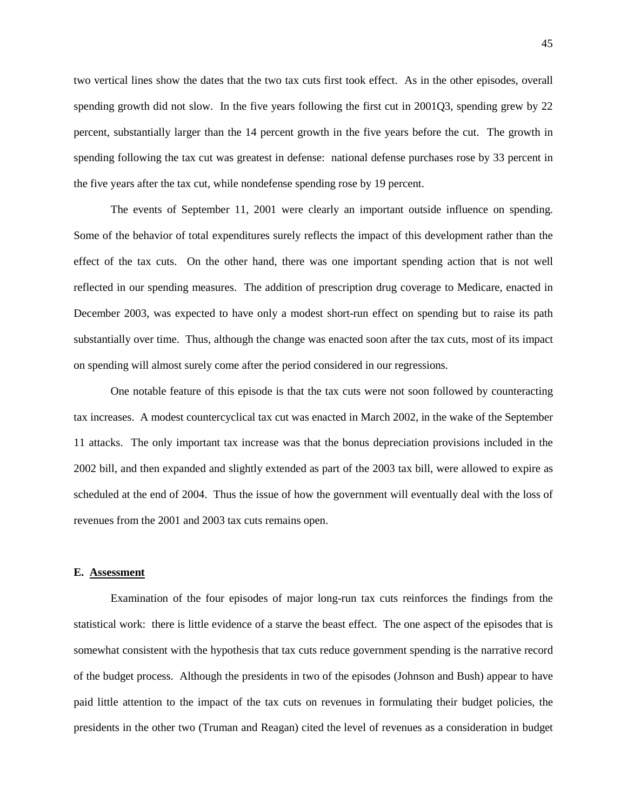two vertical lines show the dates that the two tax cuts first took effect. As in the other episodes, overall spending growth did not slow. In the five years following the first cut in 2001Q3, spending grew by 22 percent, substantially larger than the 14 percent growth in the five years before the cut. The growth in spending following the tax cut was greatest in defense: national defense purchases rose by 33 percent in the five years after the tax cut, while nondefense spending rose by 19 percent.

The events of September 11, 2001 were clearly an important outside influence on spending. Some of the behavior of total expenditures surely reflects the impact of this development rather than the effect of the tax cuts. On the other hand, there was one important spending action that is not well reflected in our spending measures. The addition of prescription drug coverage to Medicare, enacted in December 2003, was expected to have only a modest short-run effect on spending but to raise its path substantially over time. Thus, although the change was enacted soon after the tax cuts, most of its impact on spending will almost surely come after the period considered in our regressions.

One notable feature of this episode is that the tax cuts were not soon followed by counteracting tax increases. A modest countercyclical tax cut was enacted in March 2002, in the wake of the September 11 attacks. The only important tax increase was that the bonus depreciation provisions included in the 2002 bill, and then expanded and slightly extended as part of the 2003 tax bill, were allowed to expire as scheduled at the end of 2004. Thus the issue of how the government will eventually deal with the loss of revenues from the 2001 and 2003 tax cuts remains open.

#### **E. Assessment**

Examination of the four episodes of major long-run tax cuts reinforces the findings from the statistical work: there is little evidence of a starve the beast effect. The one aspect of the episodes that is somewhat consistent with the hypothesis that tax cuts reduce government spending is the narrative record of the budget process. Although the presidents in two of the episodes (Johnson and Bush) appear to have paid little attention to the impact of the tax cuts on revenues in formulating their budget policies, the presidents in the other two (Truman and Reagan) cited the level of revenues as a consideration in budget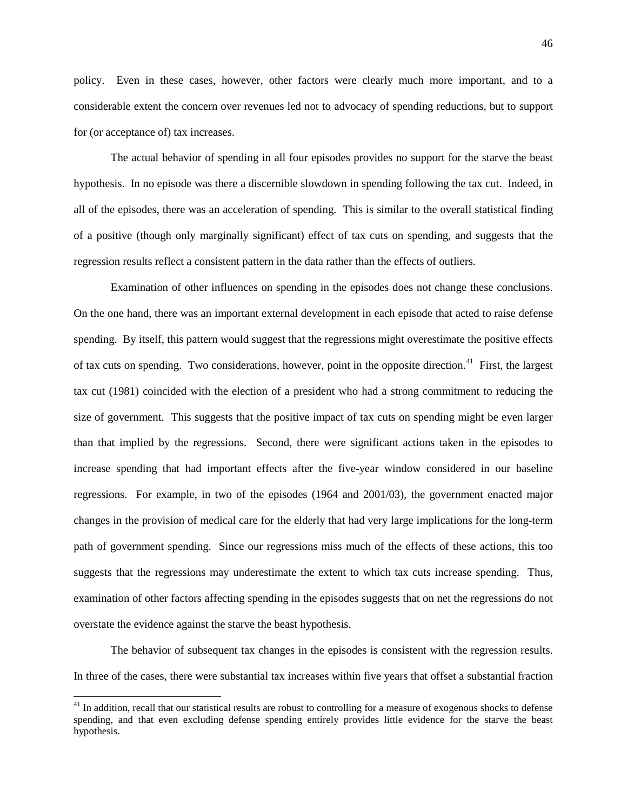policy. Even in these cases, however, other factors were clearly much more important, and to a considerable extent the concern over revenues led not to advocacy of spending reductions, but to support for (or acceptance of) tax increases.

The actual behavior of spending in all four episodes provides no support for the starve the beast hypothesis. In no episode was there a discernible slowdown in spending following the tax cut. Indeed, in all of the episodes, there was an acceleration of spending. This is similar to the overall statistical finding of a positive (though only marginally significant) effect of tax cuts on spending, and suggests that the regression results reflect a consistent pattern in the data rather than the effects of outliers.

Examination of other influences on spending in the episodes does not change these conclusions. On the one hand, there was an important external development in each episode that acted to raise defense spending. By itself, this pattern would suggest that the regressions might overestimate the positive effects of tax cuts on spending. Two considerations, however, point in the opposite direction.<sup>[41](#page-47-0)</sup> First, the largest tax cut (1981) coincided with the election of a president who had a strong commitment to reducing the size of government. This suggests that the positive impact of tax cuts on spending might be even larger than that implied by the regressions. Second, there were significant actions taken in the episodes to increase spending that had important effects after the five-year window considered in our baseline regressions. For example, in two of the episodes (1964 and 2001/03), the government enacted major changes in the provision of medical care for the elderly that had very large implications for the long-term path of government spending. Since our regressions miss much of the effects of these actions, this too suggests that the regressions may underestimate the extent to which tax cuts increase spending. Thus, examination of other factors affecting spending in the episodes suggests that on net the regressions do not overstate the evidence against the starve the beast hypothesis.

The behavior of subsequent tax changes in the episodes is consistent with the regression results. In three of the cases, there were substantial tax increases within five years that offset a substantial fraction

<span id="page-47-0"></span><sup>&</sup>lt;sup>41</sup> In addition, recall that our statistical results are robust to controlling for a measure of exogenous shocks to defense spending, and that even excluding defense spending entirely provides little evidence for the starve the beast hypothesis.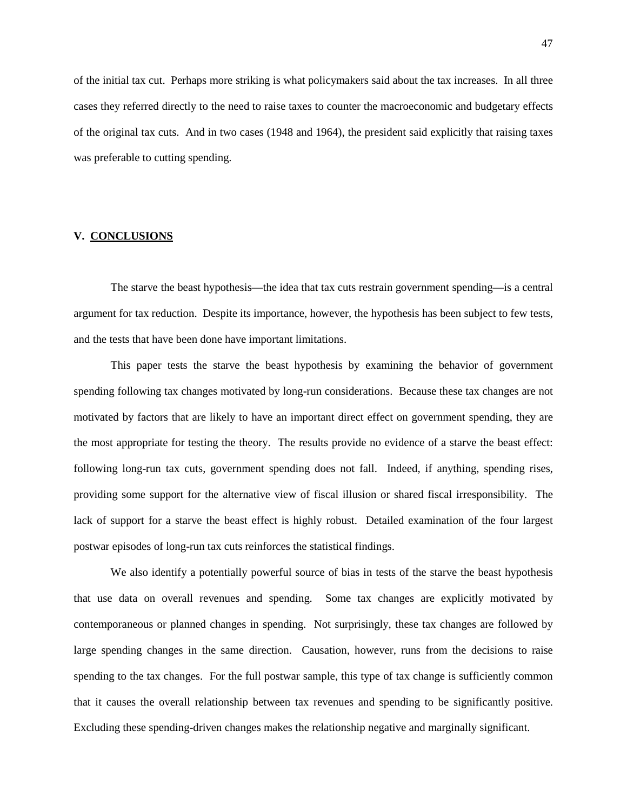of the initial tax cut. Perhaps more striking is what policymakers said about the tax increases. In all three cases they referred directly to the need to raise taxes to counter the macroeconomic and budgetary effects of the original tax cuts. And in two cases (1948 and 1964), the president said explicitly that raising taxes was preferable to cutting spending.

## **V. CONCLUSIONS**

The starve the beast hypothesis—the idea that tax cuts restrain government spending—is a central argument for tax reduction. Despite its importance, however, the hypothesis has been subject to few tests, and the tests that have been done have important limitations.

This paper tests the starve the beast hypothesis by examining the behavior of government spending following tax changes motivated by long-run considerations. Because these tax changes are not motivated by factors that are likely to have an important direct effect on government spending, they are the most appropriate for testing the theory. The results provide no evidence of a starve the beast effect: following long-run tax cuts, government spending does not fall. Indeed, if anything, spending rises, providing some support for the alternative view of fiscal illusion or shared fiscal irresponsibility. The lack of support for a starve the beast effect is highly robust. Detailed examination of the four largest postwar episodes of long-run tax cuts reinforces the statistical findings.

We also identify a potentially powerful source of bias in tests of the starve the beast hypothesis that use data on overall revenues and spending. Some tax changes are explicitly motivated by contemporaneous or planned changes in spending. Not surprisingly, these tax changes are followed by large spending changes in the same direction. Causation, however, runs from the decisions to raise spending to the tax changes. For the full postwar sample, this type of tax change is sufficiently common that it causes the overall relationship between tax revenues and spending to be significantly positive. Excluding these spending-driven changes makes the relationship negative and marginally significant.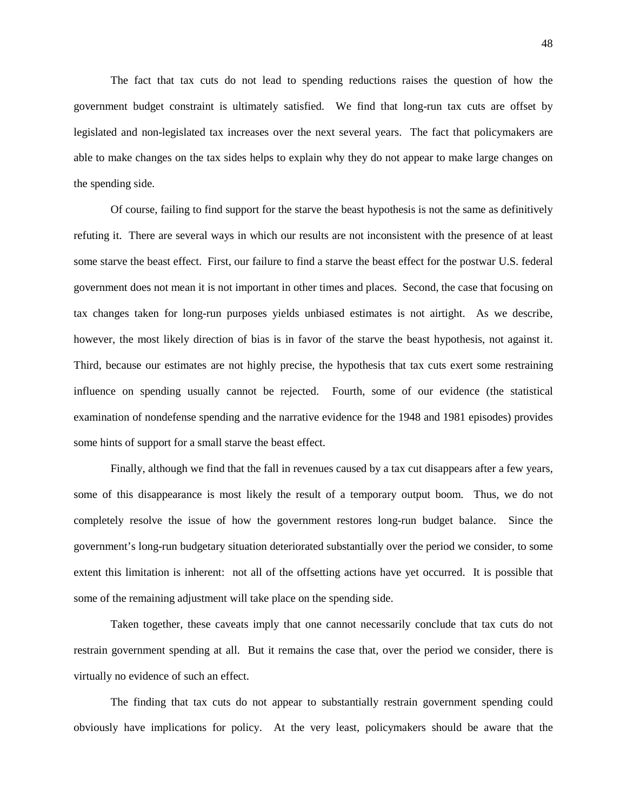The fact that tax cuts do not lead to spending reductions raises the question of how the government budget constraint is ultimately satisfied. We find that long-run tax cuts are offset by legislated and non-legislated tax increases over the next several years. The fact that policymakers are able to make changes on the tax sides helps to explain why they do not appear to make large changes on the spending side.

Of course, failing to find support for the starve the beast hypothesis is not the same as definitively refuting it. There are several ways in which our results are not inconsistent with the presence of at least some starve the beast effect. First, our failure to find a starve the beast effect for the postwar U.S. federal government does not mean it is not important in other times and places. Second, the case that focusing on tax changes taken for long-run purposes yields unbiased estimates is not airtight. As we describe, however, the most likely direction of bias is in favor of the starve the beast hypothesis, not against it. Third, because our estimates are not highly precise, the hypothesis that tax cuts exert some restraining influence on spending usually cannot be rejected. Fourth, some of our evidence (the statistical examination of nondefense spending and the narrative evidence for the 1948 and 1981 episodes) provides some hints of support for a small starve the beast effect.

Finally, although we find that the fall in revenues caused by a tax cut disappears after a few years, some of this disappearance is most likely the result of a temporary output boom. Thus, we do not completely resolve the issue of how the government restores long-run budget balance. Since the government's long-run budgetary situation deteriorated substantially over the period we consider, to some extent this limitation is inherent: not all of the offsetting actions have yet occurred. It is possible that some of the remaining adjustment will take place on the spending side.

Taken together, these caveats imply that one cannot necessarily conclude that tax cuts do not restrain government spending at all. But it remains the case that, over the period we consider, there is virtually no evidence of such an effect.

The finding that tax cuts do not appear to substantially restrain government spending could obviously have implications for policy. At the very least, policymakers should be aware that the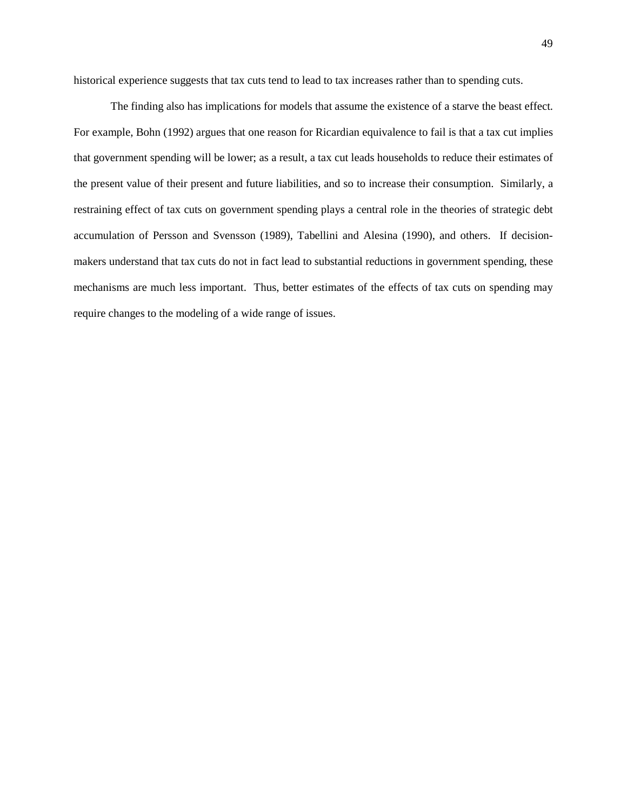historical experience suggests that tax cuts tend to lead to tax increases rather than to spending cuts.

The finding also has implications for models that assume the existence of a starve the beast effect. For example, Bohn (1992) argues that one reason for Ricardian equivalence to fail is that a tax cut implies that government spending will be lower; as a result, a tax cut leads households to reduce their estimates of the present value of their present and future liabilities, and so to increase their consumption. Similarly, a restraining effect of tax cuts on government spending plays a central role in the theories of strategic debt accumulation of Persson and Svensson (1989), Tabellini and Alesina (1990), and others. If decisionmakers understand that tax cuts do not in fact lead to substantial reductions in government spending, these mechanisms are much less important. Thus, better estimates of the effects of tax cuts on spending may require changes to the modeling of a wide range of issues.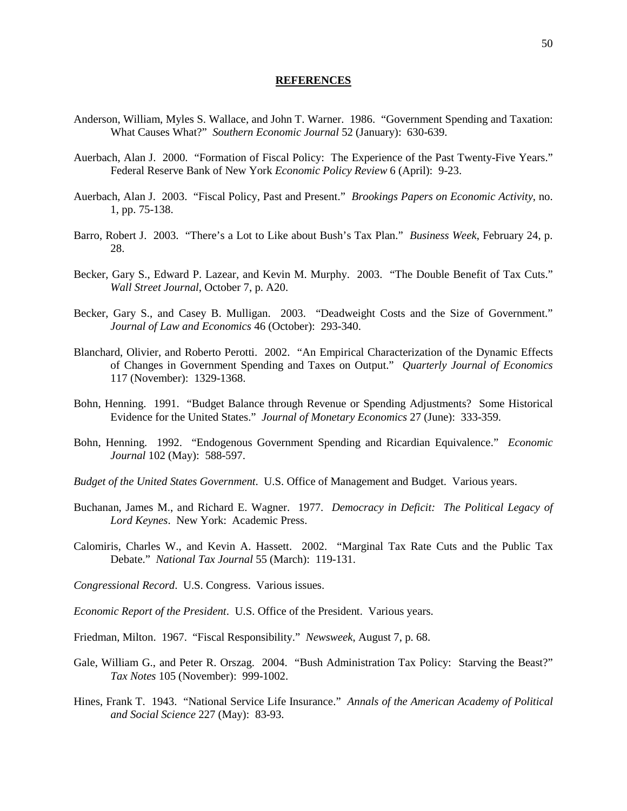#### **REFERENCES**

- Anderson, William, Myles S. Wallace, and John T. Warner. 1986. "Government Spending and Taxation: What Causes What?" *Southern Economic Journal* 52 (January): 630-639.
- Auerbach, Alan J. 2000. "Formation of Fiscal Policy: The Experience of the Past Twenty-Five Years." Federal Reserve Bank of New York *Economic Policy Review* 6 (April): 9-23.
- Auerbach, Alan J. 2003. "Fiscal Policy, Past and Present." *Brookings Papers on Economic Activity*, no. 1, pp. 75-138.
- Barro, Robert J. 2003. "There's a Lot to Like about Bush's Tax Plan." *Business Week*, February 24, p. 28.
- Becker, Gary S., Edward P. Lazear, and Kevin M. Murphy. 2003. "The Double Benefit of Tax Cuts." *Wall Street Journal*, October 7, p. A20.
- Becker, Gary S., and Casey B. Mulligan. 2003. "Deadweight Costs and the Size of Government." *Journal of Law and Economics* 46 (October): 293-340.
- Blanchard, Olivier, and Roberto Perotti. 2002. "An Empirical Characterization of the Dynamic Effects of Changes in Government Spending and Taxes on Output." *Quarterly Journal of Economics* 117 (November): 1329-1368.
- Bohn, Henning. 1991. "Budget Balance through Revenue or Spending Adjustments? Some Historical Evidence for the United States." *Journal of Monetary Economics* 27 (June): 333-359.
- Bohn, Henning. 1992. "Endogenous Government Spending and Ricardian Equivalence." *Economic Journal* 102 (May): 588-597.
- *Budget of the United States Government*. U.S. Office of Management and Budget. Various years.
- Buchanan, James M., and Richard E. Wagner. 1977. *Democracy in Deficit: The Political Legacy of Lord Keynes*. New York: Academic Press.
- Calomiris, Charles W., and Kevin A. Hassett. 2002. "Marginal Tax Rate Cuts and the Public Tax Debate." *National Tax Journal* 55 (March): 119-131.
- *Congressional Record*. U.S. Congress. Various issues.
- *Economic Report of the President*. U.S. Office of the President. Various years.
- Friedman, Milton. 1967. "Fiscal Responsibility." *Newsweek*, August 7, p. 68.
- Gale, William G., and Peter R. Orszag. 2004. "Bush Administration Tax Policy: Starving the Beast?" *Tax Notes* 105 (November): 999-1002.
- Hines, Frank T. 1943. "National Service Life Insurance." *Annals of the American Academy of Political and Social Science* 227 (May): 83-93.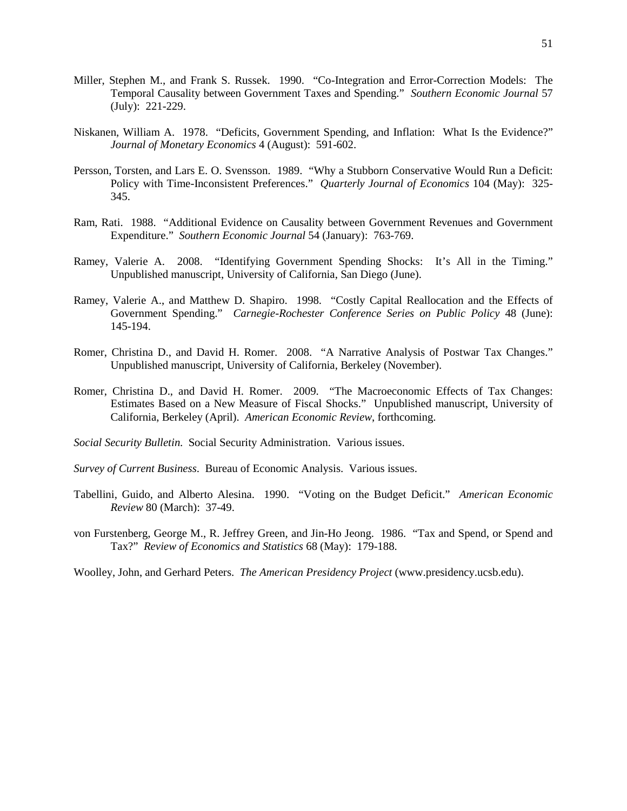- Miller, Stephen M., and Frank S. Russek. 1990. "Co-Integration and Error-Correction Models: The Temporal Causality between Government Taxes and Spending." *Southern Economic Journal* 57 (July): 221-229.
- Niskanen, William A. 1978. "Deficits, Government Spending, and Inflation: What Is the Evidence?" *Journal of Monetary Economics* 4 (August): 591-602.
- Persson, Torsten, and Lars E. O. Svensson. 1989. "Why a Stubborn Conservative Would Run a Deficit: Policy with Time-Inconsistent Preferences." *Quarterly Journal of Economics* 104 (May): 325- 345.
- Ram, Rati. 1988. "Additional Evidence on Causality between Government Revenues and Government Expenditure." *Southern Economic Journal* 54 (January): 763-769.
- Ramey, Valerie A. 2008. "Identifying Government Spending Shocks: It's All in the Timing." Unpublished manuscript, University of California, San Diego (June).
- Ramey, Valerie A., and Matthew D. Shapiro. 1998. "Costly Capital Reallocation and the Effects of Government Spending." *Carnegie-Rochester Conference Series on Public Policy* 48 (June): 145-194.
- Romer, Christina D., and David H. Romer. 2008. "A Narrative Analysis of Postwar Tax Changes." Unpublished manuscript, University of California, Berkeley (November).
- Romer, Christina D., and David H. Romer. 2009. "The Macroeconomic Effects of Tax Changes: Estimates Based on a New Measure of Fiscal Shocks." Unpublished manuscript, University of California, Berkeley (April). *American Economic Review*, forthcoming.
- *Social Security Bulletin*. Social Security Administration. Various issues.
- *Survey of Current Business*. Bureau of Economic Analysis. Various issues.
- Tabellini, Guido, and Alberto Alesina. 1990. "Voting on the Budget Deficit." *American Economic Review* 80 (March): 37-49.
- von Furstenberg, George M., R. Jeffrey Green, and Jin-Ho Jeong. 1986. "Tax and Spend, or Spend and Tax?" *Review of Economics and Statistics* 68 (May): 179-188.

Woolley, John, and Gerhard Peters. *The American Presidency Project* (www.presidency.ucsb.edu).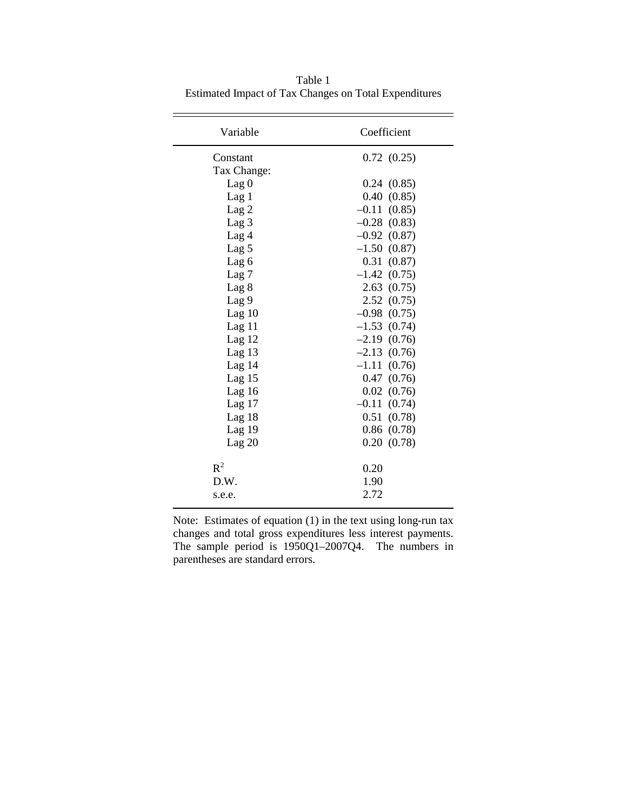| Variable         | Coefficient      |
|------------------|------------------|
| Constant         | 0.72(0.25)       |
| Tax Change:      |                  |
| Lag <sub>0</sub> | 0.24(0.85)       |
| Lag1             | 0.40(0.85)       |
| Lag <sub>2</sub> | $-0.11(0.85)$    |
| Lag 3            | $-0.28$ $(0.83)$ |
| Lag <sub>4</sub> | $-0.92$ $(0.87)$ |
| Lag <sub>5</sub> | $-1.50(0.87)$    |
| Lag 6            | 0.31(0.87)       |
| Lag <sub>7</sub> | $-1.42(0.75)$    |
| Lag <sub>8</sub> | 2.63(0.75)       |
| Lag 9            | 2.52(0.75)       |
| Lag $10$         | $-0.98$ $(0.75)$ |
| Lag 11           | $-1.53$ (0.74)   |
| Lag $12$         | $-2.19(0.76)$    |
| Lag 13           | $-2.13(0.76)$    |
| Lag 14           | $-1.11(0.76)$    |
| Lag 15           | 0.47(0.76)       |
| Lag $16$         | 0.02(0.76)       |
| Lag 17           | $-0.11(0.74)$    |
| Lag 18           | 0.51(0.78)       |
| Lag 19           | $0.86$ $(0.78)$  |
| Lag $20$         | 0.20(0.78)       |
| $R^2$            | 0.20             |
| D.W.             | 1.90             |
| s.e.e.           | 2.72             |

Table 1 Estimated Impact of Tax Changes on Total Expenditures

Note: Estimates of equation (1) in the text using long-run tax changes and total gross expenditures less interest payments. The sample period is 1950Q1–2007Q4. The numbers in parentheses are standard errors.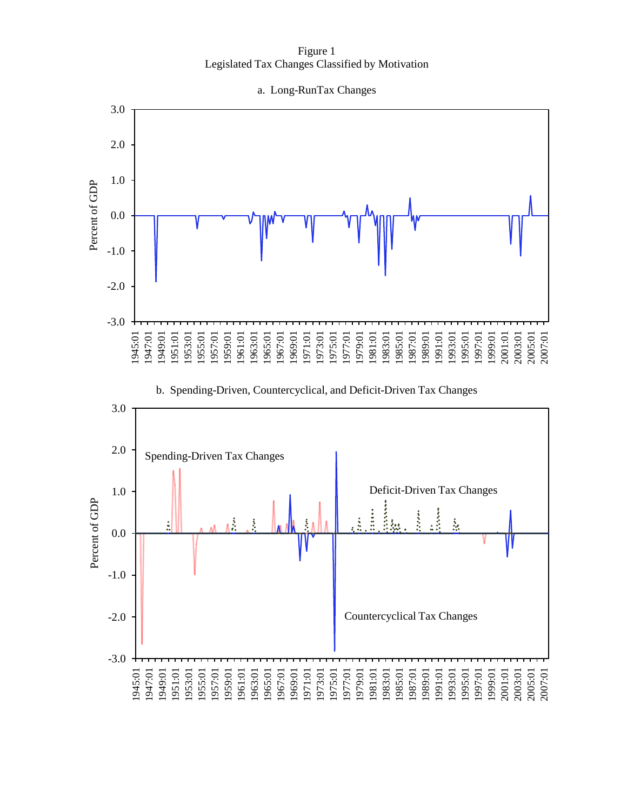Figure 1 Legislated Tax Changes Classified by Motivation



a. Long-RunTax Changes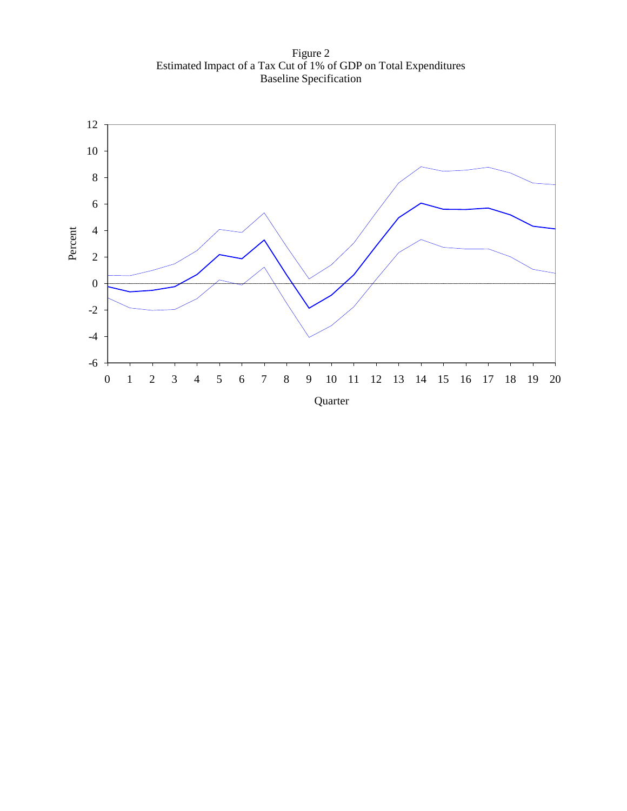Figure 2 Estimated Impact of a Tax Cut of 1% of GDP on Total Expenditures Baseline Specification

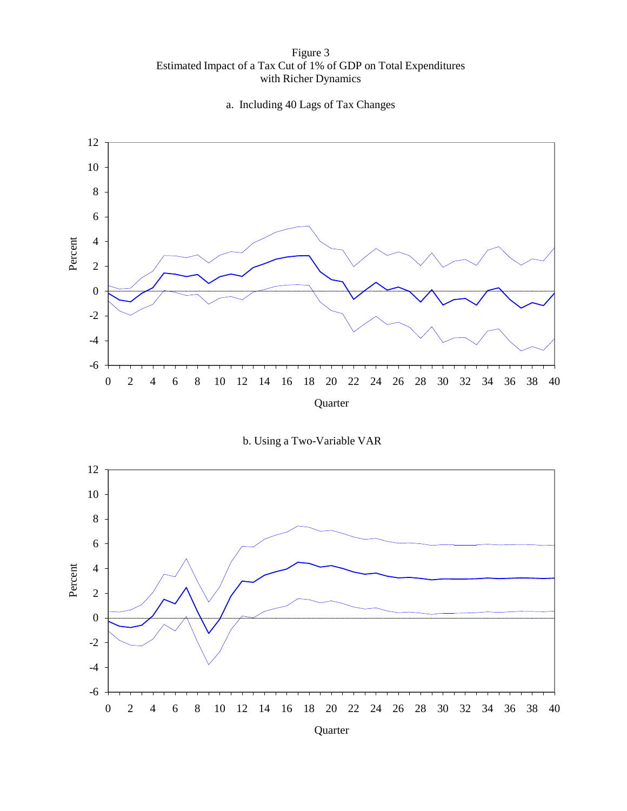Figure 3 Estimated Impact of a Tax Cut of 1% of GDP on Total Expenditures with Richer Dynamics



a. Including 40 Lags of Tax Changes

b. Using a Two-Variable VAR

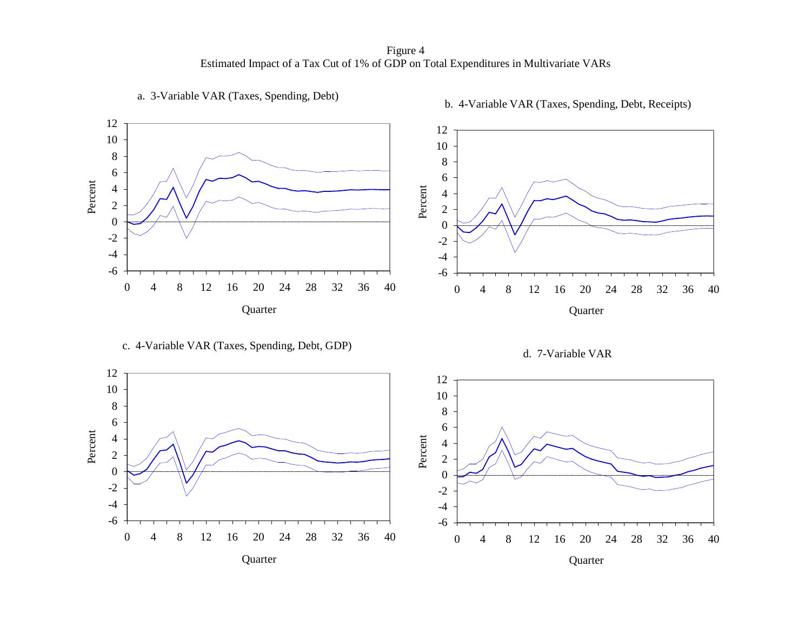Figure 4 Estimated Impact of a Tax Cut of 1% of GDP on Total Expenditures in Multivariate VARs



a. 3-Variable VAR (Taxes, Spending, Debt)

b. 4-Variable VAR (Taxes, Spending, Debt, Receipts)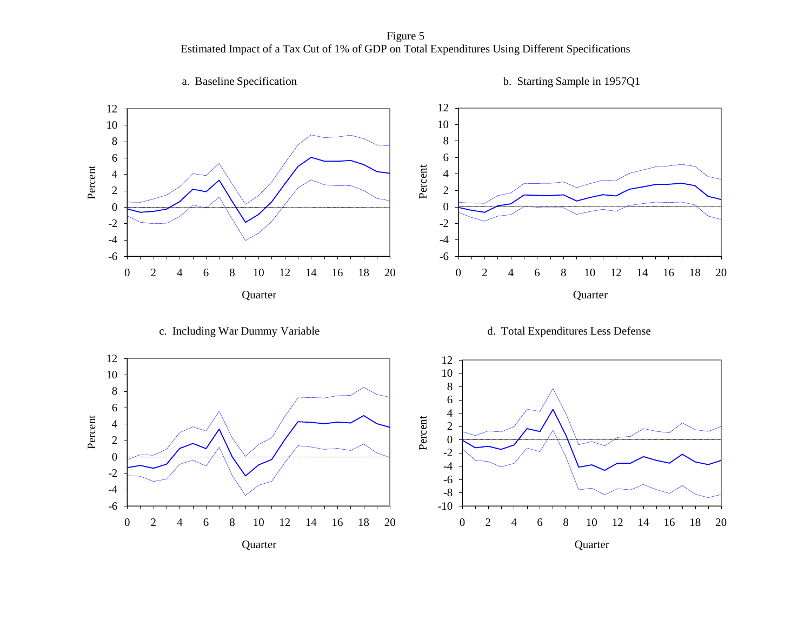Figure 5 Estimated Impact of a Tax Cut of 1% of GDP on Total Expenditures Using Different Specifications



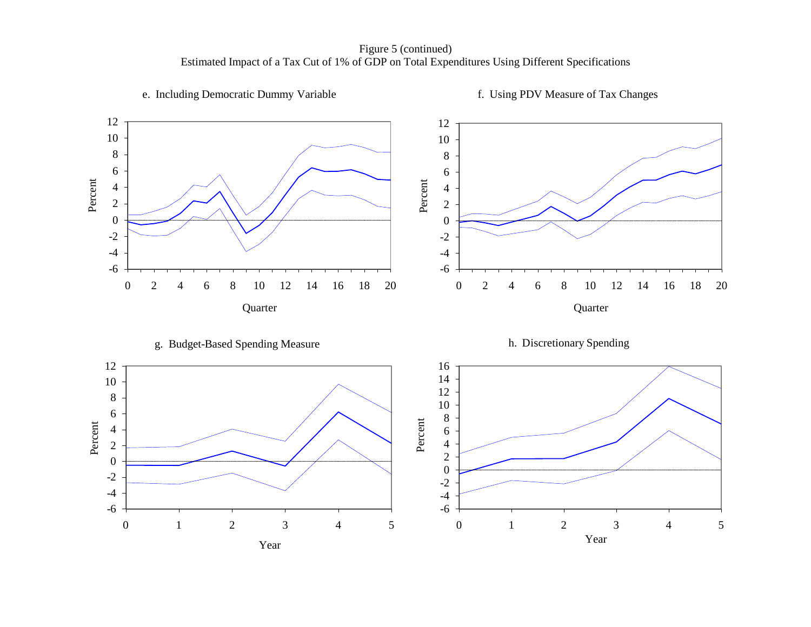Figure 5 (continued) Estimated Impact of a Tax Cut of 1% of GDP on Total Expenditures Using Different Specifications



# e. Including Democratic Dummy Variable

f. Using PDV Measure of Tax Changes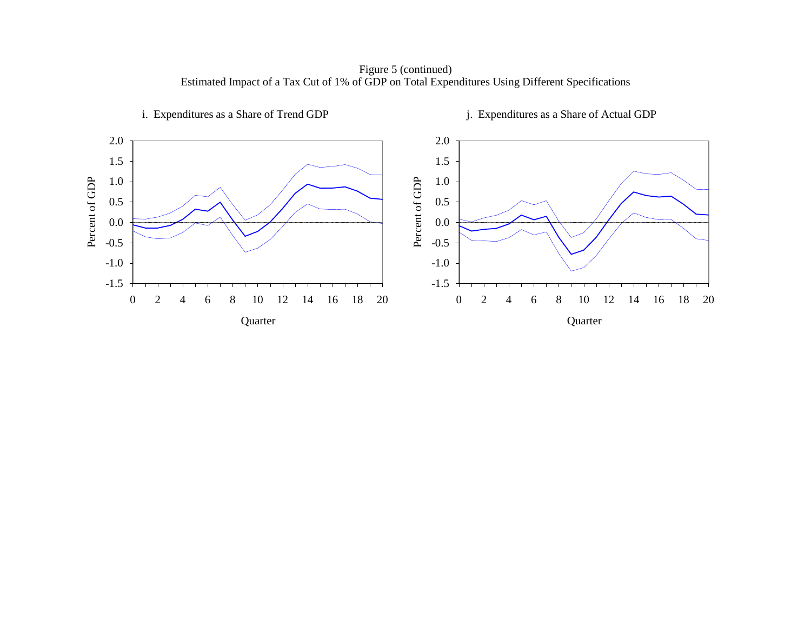Figure 5 (continued) Estimated Impact of a Tax Cut of 1% of GDP on Total Expenditures Using Different Specifications

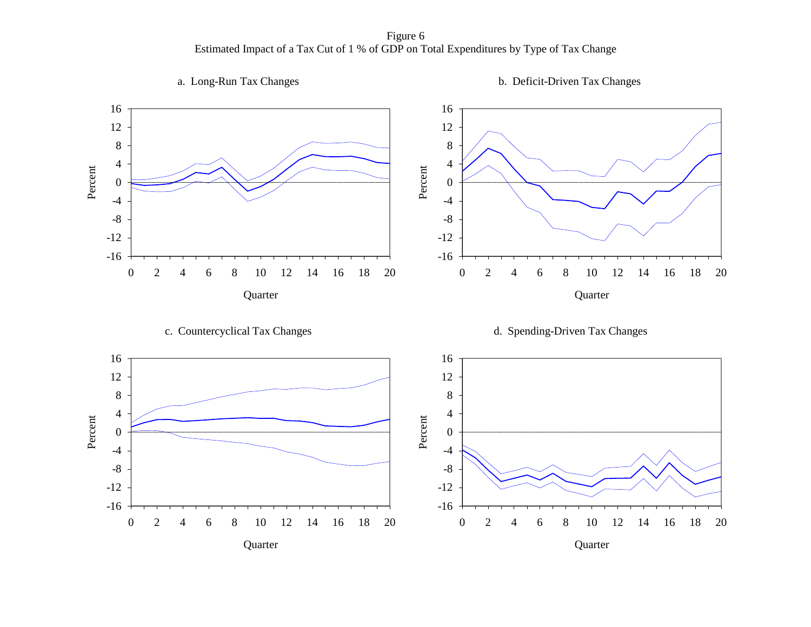Figure 6 Estimated Impact of a Tax Cut of 1 % of GDP on Total Expenditures by Type of Tax Change

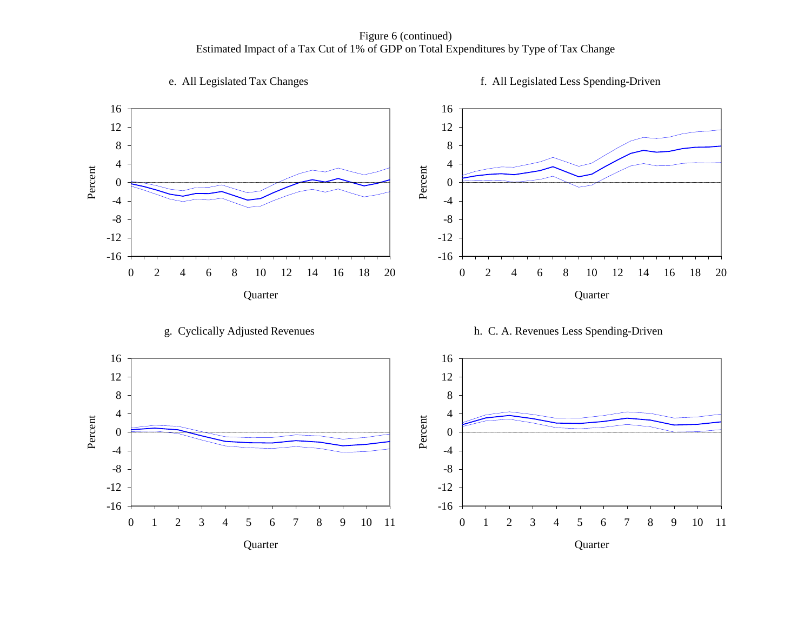# Figure 6 (continued) Estimated Impact of a Tax Cut of 1% of GDP on Total Expenditures by Type of Tax Change





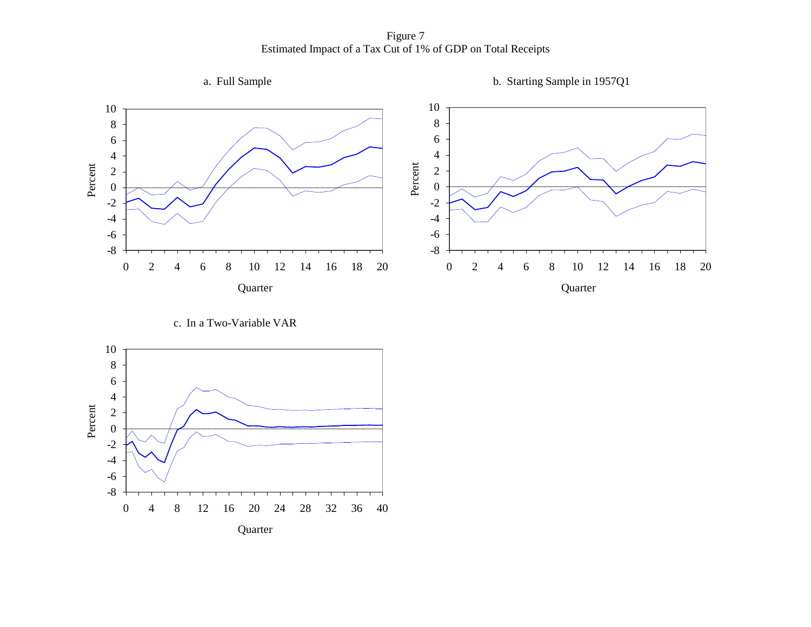Figure 7 Estimated Impact of a Tax Cut of 1% of GDP on Total Receipts



c. In a Two-Variable VAR

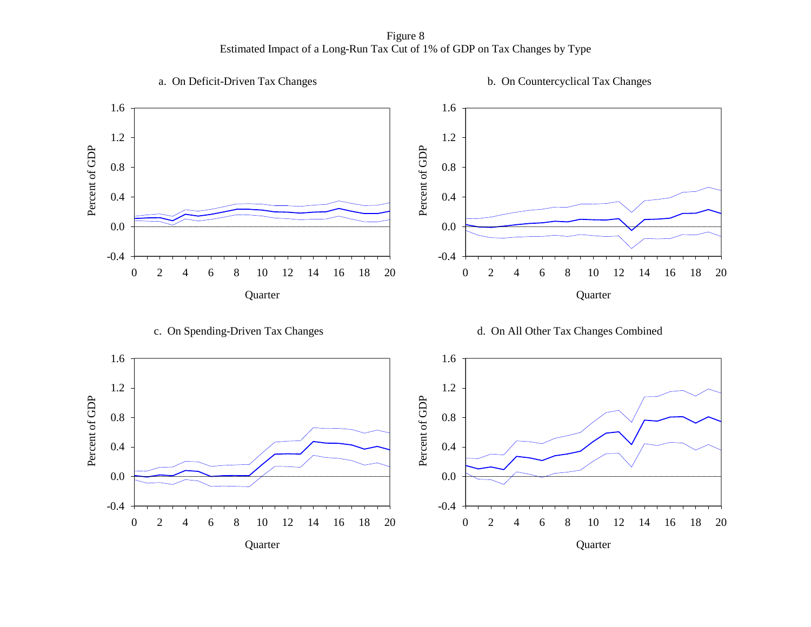Figure 8 Estimated Impact of a Long-Run Tax Cut of 1% of GDP on Tax Changes by Type



b. On Countercyclical Tax Changes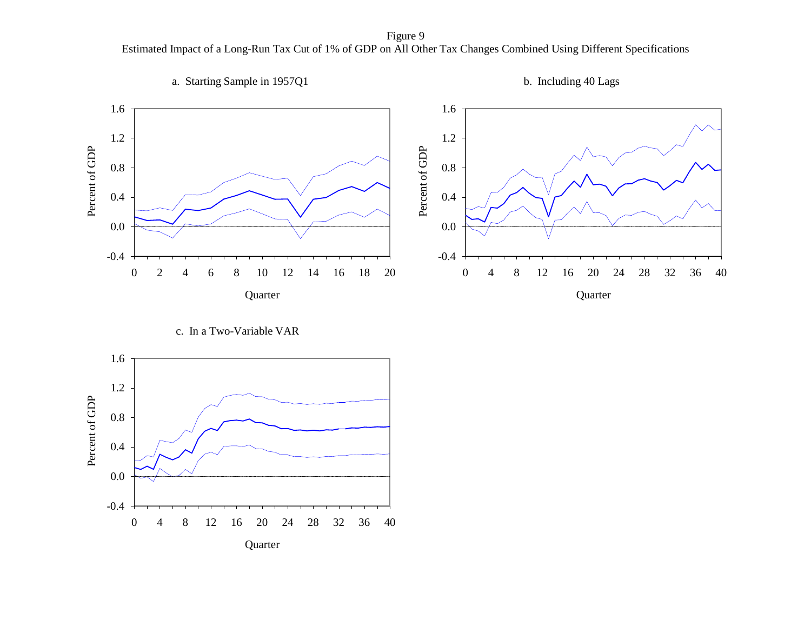Figure 9 Estimated Impact of a Long-Run Tax Cut of 1% of GDP on All Other Tax Changes Combined Using Different Specifications



c. In a Two-Variable VAR